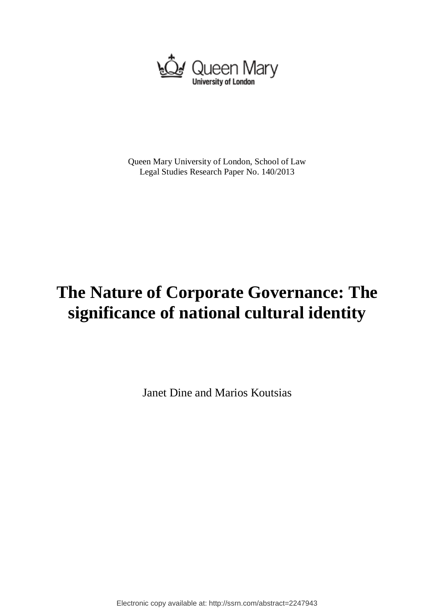

Queen Mary University of London, School of Law Legal Studies Research Paper No. 140/2013

# **The Nature of Corporate Governance: The significance of national cultural identity**

Janet Dine and Marios Koutsias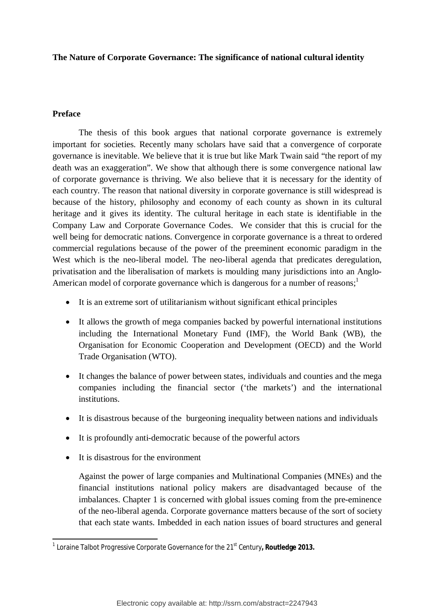# **The Nature of Corporate Governance: The significance of national cultural identity**

# **Preface**

The thesis of this book argues that national corporate governance is extremely important for societies. Recently many scholars have said that a convergence of corporate governance is inevitable. We believe that it is true but like Mark Twain said "the report of my death was an exaggeration". We show that although there is some convergence national law of corporate governance is thriving. We also believe that it is necessary for the identity of each country. The reason that national diversity in corporate governance is still widespread is because of the history, philosophy and economy of each county as shown in its cultural heritage and it gives its identity. The cultural heritage in each state is identifiable in the Company Law and Corporate Governance Codes. We consider that this is crucial for the well being for democratic nations. Convergence in corporate governance is a threat to ordered commercial regulations because of the power of the preeminent economic paradigm in the West which is the neo-liberal model. The neo-liberal agenda that predicates deregulation, privatisation and the liberalisation of markets is moulding many jurisdictions into an Anglo-American model of corporate governance which is dangerous for a number of reasons;<sup>1</sup>

- It is an extreme sort of utilitarianism without significant ethical principles
- It allows the growth of mega companies backed by powerful international institutions including the International Monetary Fund (IMF), the World Bank (WB), the Organisation for Economic Cooperation and Development (OECD) and the World Trade Organisation (WTO).
- It changes the balance of power between states, individuals and counties and the mega companies including the financial sector ('the markets') and the international institutions.
- It is disastrous because of the burgeoning inequality between nations and individuals
- It is profoundly anti-democratic because of the powerful actors
- It is disastrous for the environment

Against the power of large companies and Multinational Companies (MNEs) and the financial institutions national policy makers are disadvantaged because of the imbalances. Chapter 1 is concerned with global issues coming from the pre-eminence of the neo-liberal agenda. Corporate governance matters because of the sort of society that each state wants. Imbedded in each nation issues of board structures and general

 1 Loraine Talbot *Progressive Corporate Governance for the 21st Century,* **Routledge 2013.**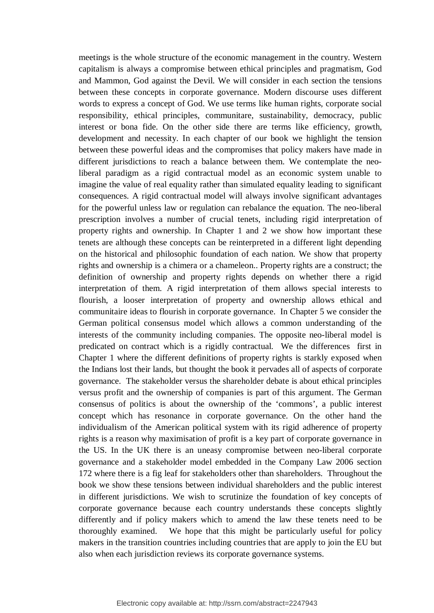meetings is the whole structure of the economic management in the country. Western capitalism is always a compromise between ethical principles and pragmatism, God and Mammon, God against the Devil. We will consider in each section the tensions between these concepts in corporate governance. Modern discourse uses different words to express a concept of God. We use terms like human rights, corporate social responsibility, ethical principles, communitare, sustainability, democracy, public interest or bona fide. On the other side there are terms like efficiency, growth, development and necessity. In each chapter of our book we highlight the tension between these powerful ideas and the compromises that policy makers have made in different jurisdictions to reach a balance between them. We contemplate the neoliberal paradigm as a rigid contractual model as an economic system unable to imagine the value of real equality rather than simulated equality leading to significant consequences. A rigid contractual model will always involve significant advantages for the powerful unless law or regulation can rebalance the equation. The neo-liberal prescription involves a number of crucial tenets, including rigid interpretation of property rights and ownership. In Chapter 1 and 2 we show how important these tenets are although these concepts can be reinterpreted in a different light depending on the historical and philosophic foundation of each nation. We show that property rights and ownership is a chimera or a chameleon.. Property rights are a construct; the definition of ownership and property rights depends on whether there a rigid interpretation of them. A rigid interpretation of them allows special interests to flourish, a looser interpretation of property and ownership allows ethical and communitaire ideas to flourish in corporate governance. In Chapter 5 we consider the German political consensus model which allows a common understanding of the interests of the community including companies. The opposite neo-liberal model is predicated on contract which is a rigidly contractual. We the differences first in Chapter 1 where the different definitions of property rights is starkly exposed when the Indians lost their lands, but thought the book it pervades all of aspects of corporate governance. The stakeholder versus the shareholder debate is about ethical principles versus profit and the ownership of companies is part of this argument. The German consensus of politics is about the ownership of the 'commons', a public interest concept which has resonance in corporate governance. On the other hand the individualism of the American political system with its rigid adherence of property rights is a reason why maximisation of profit is a key part of corporate governance in the US. In the UK there is an uneasy compromise between neo-liberal corporate governance and a stakeholder model embedded in the Company Law 2006 section 172 where there is a fig leaf for stakeholders other than shareholders. Throughout the book we show these tensions between individual shareholders and the public interest in different jurisdictions. We wish to scrutinize the foundation of key concepts of corporate governance because each country understands these concepts slightly differently and if policy makers which to amend the law these tenets need to be thoroughly examined. We hope that this might be particularly useful for policy makers in the transition countries including countries that are apply to join the EU but also when each jurisdiction reviews its corporate governance systems.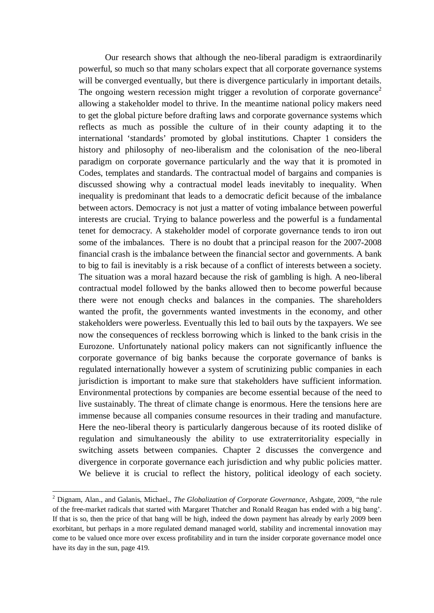Our research shows that although the neo-liberal paradigm is extraordinarily powerful, so much so that many scholars expect that all corporate governance systems will be converged eventually, but there is divergence particularly in important details. The ongoing western recession might trigger a revolution of corporate governance<sup>2</sup> allowing a stakeholder model to thrive. In the meantime national policy makers need to get the global picture before drafting laws and corporate governance systems which reflects as much as possible the culture of in their county adapting it to the international 'standards' promoted by global institutions. Chapter 1 considers the history and philosophy of neo-liberalism and the colonisation of the neo-liberal paradigm on corporate governance particularly and the way that it is promoted in Codes, templates and standards. The contractual model of bargains and companies is discussed showing why a contractual model leads inevitably to inequality. When inequality is predominant that leads to a democratic deficit because of the imbalance between actors. Democracy is not just a matter of voting imbalance between powerful interests are crucial. Trying to balance powerless and the powerful is a fundamental tenet for democracy. A stakeholder model of corporate governance tends to iron out some of the imbalances. There is no doubt that a principal reason for the 2007-2008 financial crash is the imbalance between the financial sector and governments. A bank to big to fail is inevitably is a risk because of a conflict of interests between a society. The situation was a moral hazard because the risk of gambling is high. A neo-liberal contractual model followed by the banks allowed then to become powerful because there were not enough checks and balances in the companies. The shareholders wanted the profit, the governments wanted investments in the economy, and other stakeholders were powerless. Eventually this led to bail outs by the taxpayers. We see now the consequences of reckless borrowing which is linked to the bank crisis in the Eurozone. Unfortunately national policy makers can not significantly influence the corporate governance of big banks because the corporate governance of banks is regulated internationally however a system of scrutinizing public companies in each jurisdiction is important to make sure that stakeholders have sufficient information. Environmental protections by companies are become essential because of the need to live sustainably. The threat of climate change is enormous. Here the tensions here are immense because all companies consume resources in their trading and manufacture. Here the neo-liberal theory is particularly dangerous because of its rooted dislike of regulation and simultaneously the ability to use extraterritoriality especially in switching assets between companies. Chapter 2 discusses the convergence and divergence in corporate governance each jurisdiction and why public policies matter. We believe it is crucial to reflect the history, political ideology of each society.

 $\overline{\phantom{a}}$ 

<sup>2</sup> Dignam, Alan., and Galanis, Michael., *The Globalization of Corporate Governance,* Ashgate, 2009, "the rule of the free-market radicals that started with Margaret Thatcher and Ronald Reagan has ended with a big bang'. If that is so, then the price of that bang will be high, indeed the down payment has already by early 2009 been exorbitant, but perhaps in a more regulated demand managed world, stability and incremental innovation may come to be valued once more over excess profitability and in turn the insider corporate governance model once have its day in the sun, page 419.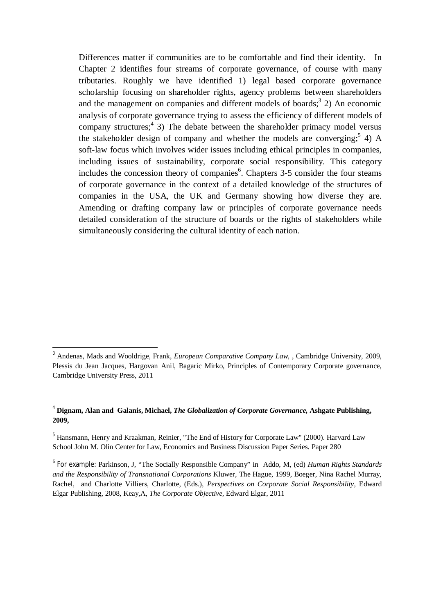Differences matter if communities are to be comfortable and find their identity. In Chapter 2 identifies four streams of corporate governance, of course with many tributaries. Roughly we have identified 1) legal based corporate governance scholarship focusing on shareholder rights, agency problems between shareholders and the management on companies and different models of boards;<sup>3</sup> 2) An economic analysis of corporate governance trying to assess the efficiency of different models of company structures;<sup>4</sup> 3) The debate between the shareholder primacy model versus the stakeholder design of company and whether the models are converging;  $5/4$ ) A soft-law focus which involves wider issues including ethical principles in companies, including issues of sustainability, corporate social responsibility. This category includes the concession theory of companies<sup>6</sup>. Chapters 3-5 consider the four steams of corporate governance in the context of a detailed knowledge of the structures of companies in the USA, the UK and Germany showing how diverse they are. Amending or drafting company law or principles of corporate governance needs detailed consideration of the structure of boards or the rights of stakeholders while simultaneously considering the cultural identity of each nation.

 $\overline{a}$ 

# <sup>4</sup> **Dignam, Alan and Galanis, Michael,** *The Globalization of Corporate Governance,* **Ashgate Publishing, 2009,**

<sup>5</sup> Hansmann, Henry and Kraakman, Reinier, "The End of History for Corporate Law" (2000). Harvard Law School John M. Olin Center for Law, Economics and Business Discussion Paper Series. Paper 280

<sup>3</sup> Andenas, Mads and Wooldrige, Frank, *European Comparative Company Law,* , Cambridge University, 2009, Plessis du Jean Jacques, Hargovan Anil, Bagaric Mirko, Principles of Contemporary Corporate governance, Cambridge University Press, 2011

<sup>6</sup> For example: Parkinson, J, "The Socially Responsible Company" in Addo, M, (ed) *Human Rights Standards and the Responsibility of Transnational Corporations* Kluwer, The Hague, 1999, Boeger, Nina Rachel Murray, Rachel, and Charlotte Villiers, Charlotte, (Eds.), *Perspectives on Corporate Social Responsibility,* Edward Elgar Publishing, 2008, Keay,A, *The Corporate Objective,* Edward Elgar, 2011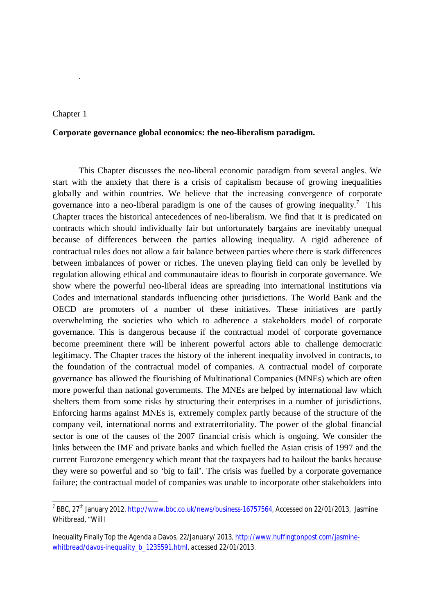#### Chapter 1

 $\overline{a}$ 

.

#### **Corporate governance global economics: the neo-liberalism paradigm.**

This Chapter discusses the neo-liberal economic paradigm from several angles. We start with the anxiety that there is a crisis of capitalism because of growing inequalities globally and within countries. We believe that the increasing convergence of corporate governance into a neo-liberal paradigm is one of the causes of growing inequality.<sup>7</sup> This Chapter traces the historical antecedences of neo-liberalism. We find that it is predicated on contracts which should individually fair but unfortunately bargains are inevitably unequal because of differences between the parties allowing inequality. A rigid adherence of contractual rules does not allow a fair balance between parties where there is stark differences between imbalances of power or riches. The uneven playing field can only be levelled by regulation allowing ethical and communautaire ideas to flourish in corporate governance. We show where the powerful neo-liberal ideas are spreading into international institutions via Codes and international standards influencing other jurisdictions. The World Bank and the OECD are promoters of a number of these initiatives. These initiatives are partly overwhelming the societies who which to adherence a stakeholders model of corporate governance. This is dangerous because if the contractual model of corporate governance become preeminent there will be inherent powerful actors able to challenge democratic legitimacy. The Chapter traces the history of the inherent inequality involved in contracts, to the foundation of the contractual model of companies. A contractual model of corporate governance has allowed the flourishing of Multinational Companies (MNEs) which are often more powerful than national governments. The MNEs are helped by international law which shelters them from some risks by structuring their enterprises in a number of jurisdictions. Enforcing harms against MNEs is, extremely complex partly because of the structure of the company veil, international norms and extraterritoriality. The power of the global financial sector is one of the causes of the 2007 financial crisis which is ongoing. We consider the links between the IMF and private banks and which fuelled the Asian crisis of 1997 and the current Eurozone emergency which meant that the taxpayers had to bailout the banks because they were so powerful and so 'big to fail'. The crisis was fuelled by a corporate governance failure; the contractual model of companies was unable to incorporate other stakeholders into

<sup>&</sup>lt;sup>7</sup> BBC, 27<sup>th</sup> January 2012, <u>http://www.bbc.co.uk/news/business-16757564</u>, Accessed on 22/01/2013, Jasmine Whitbread, "Will I

Inequality Finally Top the Agenda a Davos, 22/January/ 2013, http://www.huffingtonpost.com/jasminewhitbread/davos-inequality\_b\_1235591.html, accessed 22/01/2013.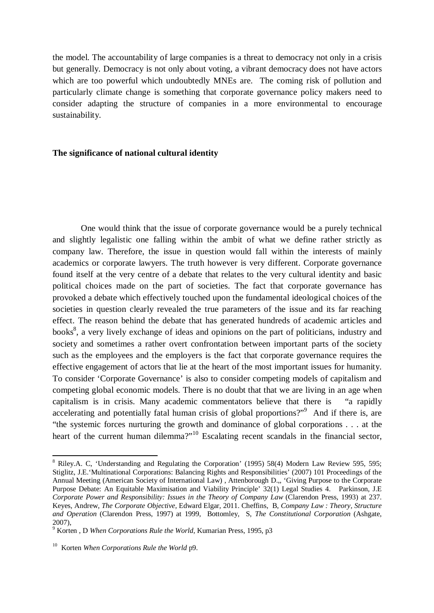the model. The accountability of large companies is a threat to democracy not only in a crisis but generally. Democracy is not only about voting, a vibrant democracy does not have actors which are too powerful which undoubtedly MNEs are. The coming risk of pollution and particularly climate change is something that corporate governance policy makers need to consider adapting the structure of companies in a more environmental to encourage sustainability.

# **The significance of national cultural identity**

One would think that the issue of corporate governance would be a purely technical and slightly legalistic one falling within the ambit of what we define rather strictly as company law. Therefore, the issue in question would fall within the interests of mainly academics or corporate lawyers. The truth however is very different. Corporate governance found itself at the very centre of a debate that relates to the very cultural identity and basic political choices made on the part of societies. The fact that corporate governance has provoked a debate which effectively touched upon the fundamental ideological choices of the societies in question clearly revealed the true parameters of the issue and its far reaching effect. The reason behind the debate that has generated hundreds of academic articles and books<sup>8</sup>, a very lively exchange of ideas and opinions on the part of politicians, industry and society and sometimes a rather overt confrontation between important parts of the society such as the employees and the employers is the fact that corporate governance requires the effective engagement of actors that lie at the heart of the most important issues for humanity. To consider 'Corporate Governance' is also to consider competing models of capitalism and competing global economic models. There is no doubt that that we are living in an age when capitalism is in crisis. Many academic commentators believe that there is "a rapidly accelerating and potentially fatal human crisis of global proportions?"<sup>9</sup> And if there is, are "the systemic forces nurturing the growth and dominance of global corporations . . . at the heart of the current human dilemma?"<sup>10</sup> Escalating recent scandals in the financial sector,

 $\overline{\phantom{a}}$ 

<sup>8</sup> Riley.A. C, 'Understanding and Regulating the Corporation' (1995) 58(4) Modern Law Review 595, 595; Stiglitz, J.E.'Multinational Corporations: Balancing Rights and Responsibilities' (2007) 101 Proceedings of the Annual Meeting (American Society of International Law) , Attenborough D.,, 'Giving Purpose to the Corporate Purpose Debate: An Equitable Maximisation and Viability Principle' 32(1) Legal Studies 4. Parkinson, J.E *Corporate Power and Responsibility: Issues in the Theory of Company Law* (Clarendon Press, 1993) at 237. Keyes, Andrew, *The Corporate Objective,* Edward Elgar, 2011. Cheffins, B, *Company Law : Theory, Structure and Operation* (Clarendon Press, 1997) at 1999, Bottomley, S, *The Constitutional Corporation* (Ashgate, 2007),

<sup>9</sup> Korten , D *When Corporations Rule the World*, Kumarian Press, 1995, p3

<sup>10</sup> Korten *When Corporations Rule the World* p9.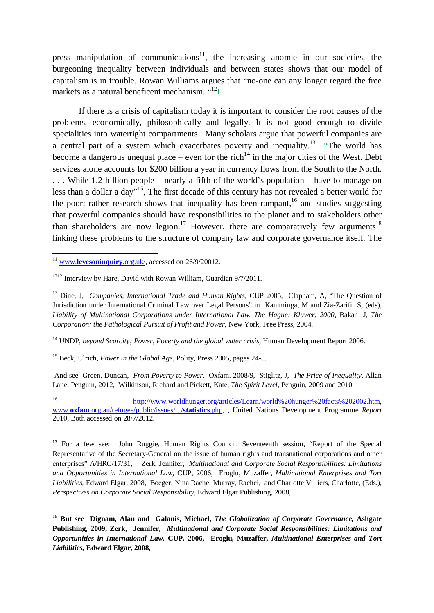press manipulation of communications<sup>11</sup>, the increasing anomie in our societies, the burgeoning inequality between individuals and between states shows that our model of capitalism is in trouble. Rowan Williams argues that "no-one can any longer regard the free markets as a natural beneficent mechanism.  $\cdot$ <sup>(12</sup>I)

If there is a crisis of capitalism today it is important to consider the root causes of the problems, economically, philosophically and legally. It is not good enough to divide specialities into watertight compartments. Many scholars argue that powerful companies are a central part of a system which exacerbates poverty and inequality.<sup>13</sup> "The world has become a dangerous unequal place – even for the rich<sup>14</sup> in the major cities of the West. Debt services alone accounts for \$200 billion a year in currency flows from the South to the North. . . . While 1.2 billion people – nearly a fifth of the world's population – have to manage on less than a dollar a day"<sup>15</sup>, The first decade of this century has not revealed a better world for the poor; rather research shows that inequality has been rampant,<sup>16</sup> and studies suggesting that powerful companies should have responsibilities to the planet and to stakeholders other than shareholders are now legion.<sup>17</sup> However, there are comparatively few arguments<sup>18</sup> linking these problems to the structure of company law and corporate governance itself. The

<sup>14</sup> UNDP, *beyond Scarcity: Power, Poverty and the global water crisis, Human Development Report 2006.* 

<sup>15</sup> Beck, Ulrich, *Power in the Global Age,* Polity, Press 2005, pages 24-5.

And see Green, Duncan, *From Poverty to Power,* Oxfam. 2008/9, Stiglitz, J, *The Price of Inequality,* Allan Lane, Penguin, 2012, Wilkinson, Richard and Pickett, Kate, *The Spirit Level,* Penguin, 2009 and 2010.

 $\overline{\phantom{a}}$ <sup>11</sup> www.**levesoninquiry**.org.uk/*,* accessed on 26/9/20012.

<sup>&</sup>lt;sup>1212</sup> Interview by Hare, David with Rowan William, Guardian 9/7/2011.

<sup>&</sup>lt;sup>13</sup> Dine, J, *Companies, International Trade and Human Rights, CUP 2005, Clapham, A, "The Question of* Jurisdiction under International Criminal Law over Legal Persons" in Kamminga, M and Zia-Zarifi S, (eds), Liability of Multinational Corporations under International Law. The Hague: Kluwer. 2000, Bakan, J, The *Corporation: the Pathological Pursuit of Profit and Power,* New York, Free Press, 2004.

<sup>16</sup> http://www.worldhunger.org/articles/Learn/world%20hunger%20facts%202002.htm, www.**oxfam**.org.au/refugee/public/issues/.../**statistics**.php*, ,* United Nations Development Programme *Report*  2010, Both accessed on 28/7/2012.

**<sup>17</sup>** For a few see: John Ruggie, Human Rights Council, Seventeenth session, "Report of the Special Representative of the Secretary-General on the issue of human rights and transnational corporations and other enterprises" A/HRC/17/31, Zerk, Jennifer, *Multinational and Corporate Social Responsibilities: Limitations and Opportunities in International Law,* CUP, 2006, Eroglu, Muzaffer, *Multinational Enterprises and Tort Liabilities,* Edward Elgar, 2008, Boeger, Nina Rachel Murray, Rachel, and Charlotte Villiers, Charlotte, (Eds.), *Perspectives on Corporate Social Responsibility,* Edward Elgar Publishing, 2008,

<sup>18</sup> **But see Dignam, Alan and Galanis, Michael,** *The Globalization of Corporate Governance,* **Ashgate Publishing, 2009, Zerk, Jennifer,** *Multinational and Corporate Social Responsibilities: Limitations and Opportunities in International Law,* **CUP, 2006, Eroglu, Muzaffer,** *Multinational Enterprises and Tort Liabilities,* **Edward Elgar, 2008,**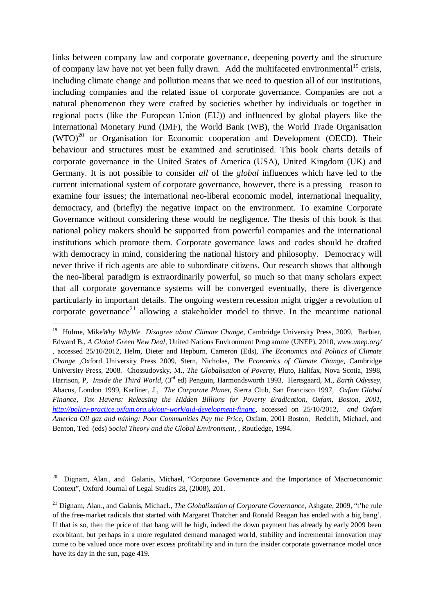links between company law and corporate governance, deepening poverty and the structure of company law have not yet been fully drawn. Add the multifaceted environmental  $1<sup>9</sup>$  crisis, including climate change and pollution means that we need to question all of our institutions, including companies and the related issue of corporate governance. Companies are not a natural phenomenon they were crafted by societies whether by individuals or together in regional pacts (like the European Union (EU)) and influenced by global players like the International Monetary Fund (IMF), the World Bank (WB), the World Trade Organisation  $(WTO)^{20}$  or Organisation for Economic cooperation and Development (OECD). Their behaviour and structures must be examined and scrutinised. This book charts details of corporate governance in the United States of America (USA), United Kingdom (UK) and Germany. It is not possible to consider *all* of the *global* influences which have led to the current international system of corporate governance, however, there is a pressing reason to examine four issues; the international neo-liberal economic model, international inequality, democracy, and (briefly) the negative impact on the environment. To examine Corporate Governance without considering these would be negligence. The thesis of this book is that national policy makers should be supported from powerful companies and the international institutions which promote them. Corporate governance laws and codes should be drafted with democracy in mind, considering the national history and philosophy. Democracy will never thrive if rich agents are able to subordinate citizens. Our research shows that although the neo-liberal paradigm is extraordinarily powerful, so much so that many scholars expect that all corporate governance systems will be converged eventually, there is divergence particularly in important details. The ongoing western recession might trigger a revolution of corporate governance<sup>21</sup> allowing a stakeholder model to thrive. In the meantime national

<sup>20</sup> Dignam, Alan., and Galanis, Michael, "Corporate Governance and the Importance of Macroeconomic Context", Oxford Journal of Legal Studies 28, (2008), 201.

 19 Hulme, Mike*Why WhyWe Disagree about Climate Change,* Cambridge University Press, 2009, Barbier, Edward B., *A Global Green New Deal,* United Nations Environment Programme (UNEP), 2010, *www.unep.org/* , accessed 25/10/2012, Helm, Dieter and Hepburn, Cameron (Eds), *The Economics and Politics of Climate Change ,*Oxford University Press 2009*,* Stern, Nicholas, *The Economics of Climate Change,* Cambridge University Press, 2008. Chossudovsky, M., *The Globalisation of Poverty*, Pluto, Halifax, Nova Scotia, 1998, Harrison, P, *Inside the Third World*, (3<sup>rd</sup> ed) Penguin, Harmondsworth 1993, Hertsgaard, M., *Earth Odyssey*, Abacus, London 1999, Karliner, J., *The Corporate Planet*, Sierra Club, San Francisco 1997, *Oxfam Global Finance, Tax Havens: Releasing the Hidden Billions for Poverty Eradication, Oxfam, Boston, 2001, http://policy-practice.oxfam.org.uk/our-work/aid-development-financ,* accessed on 25/10/2012, *and Oxfam America Oil gaz and mining: Poor Communities Pay the Price,* Oxfam, 2001 Boston, Redclift, Michael, and Benton, Ted (eds) *Social Theory and the Global Environment,* , Routledge, 1994.

<sup>21</sup> Dignam, Alan., and Galanis, Michael., *The Globalization of Corporate Governance,* Ashgate, 2009, "t'he rule of the free-market radicals that started with Margaret Thatcher and Ronald Reagan has ended with a big bang'. If that is so, then the price of that bang will be high, indeed the down payment has already by early 2009 been exorbitant, but perhaps in a more regulated demand managed world, stability and incremental innovation may come to be valued once more over excess profitability and in turn the insider corporate governance model once have its day in the sun, page 419.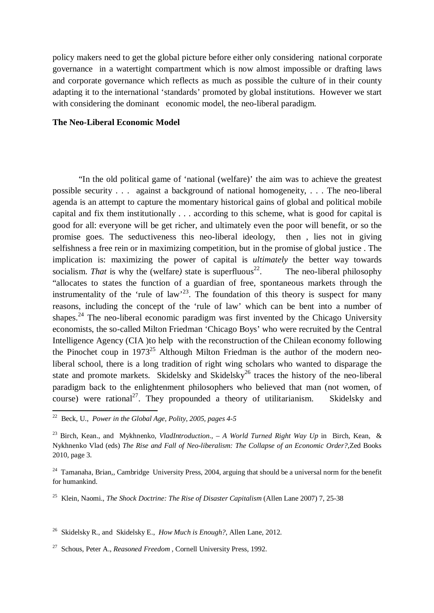policy makers need to get the global picture before either only considering national corporate governance in a watertight compartment which is now almost impossible or drafting laws and corporate governance which reflects as much as possible the culture of in their county adapting it to the international 'standards' promoted by global institutions. However we start with considering the dominant economic model, the neo-liberal paradigm.

#### **The Neo-Liberal Economic Model**

"In the old political game of 'national (welfare)' the aim was to achieve the greatest possible security . . . against a background of national homogeneity, . . . The neo-liberal agenda is an attempt to capture the momentary historical gains of global and political mobile capital and fix them institutionally . . . according to this scheme, what is good for capital is good for all: everyone will be get richer, and ultimately even the poor will benefit, or so the promise goes. The seductiveness this neo-liberal ideology, then , lies not in giving selfishness a free rein or in maximizing competition, but in the promise of global justice . The implication is: maximizing the power of capital is *ultimately* the better way towards socialism. *That* is why the (welfare) state is superfluous<sup>22</sup>. The neo-liberal philosophy "allocates to states the function of a guardian of free, spontaneous markets through the instrumentality of the 'rule of law'<sup>23</sup>. The foundation of this theory is suspect for many reasons, including the concept of the 'rule of law' which can be bent into a number of shapes.<sup>24</sup> The neo-liberal economic paradigm was first invented by the Chicago University economists, the so-called Milton Friedman 'Chicago Boys' who were recruited by the Central Intelligence Agency (CIA )to help with the reconstruction of the Chilean economy following the Pinochet coup in  $1973^{25}$  Although Milton Friedman is the author of the modern neoliberal school, there is a long tradition of right wing scholars who wanted to disparage the state and promote markets. Skidelsky and Skidelsky<sup>26</sup> traces the history of the neo-liberal paradigm back to the enlightenment philosophers who believed that man (not women, of course) were rational<sup>27</sup>. They propounded a theory of utilitarianism. Skidelsky and

25 Klein, Naomi., *The Shock Doctrine: The Rise of Disaster Capitalism* (Allen Lane 2007) 7, 25-38

26 Skidelsky R., and Skidelsky E., *How Much is Enough?*, Allen Lane, 2012.

<sup>27</sup> Schous, Peter A., *Reasoned Freedom*, Cornell University Press, 1992.

 22 Beck, U., *Power in the Global Age, Polity, 2005, pages 4-5* 

<sup>23</sup> Birch, Kean., and Mykhnenko*, VladIntroduction., – A World Turned Right Way Up* in Birch, Kean, & Nykhnenko Vlad (eds) *The Rise and Fall of Neo-liberalism: The Collapse of an Economic Order?*,Zed Books 2010, page 3.

<sup>&</sup>lt;sup>24</sup> Tamanaha, Brian,, Cambridge University Press, 2004, arguing that should be a universal norm for the benefit for humankind.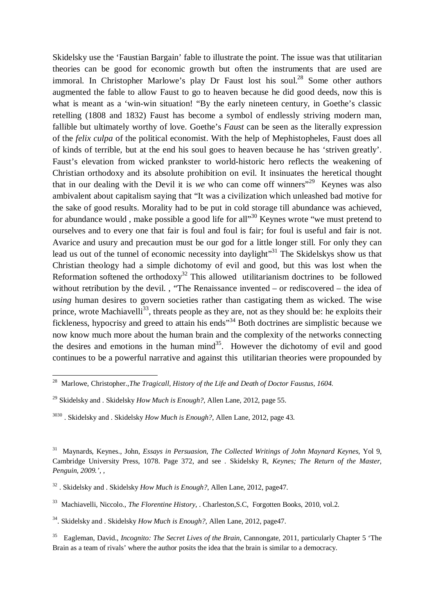Skidelsky use the 'Faustian Bargain' fable to illustrate the point. The issue was that utilitarian theories can be good for economic growth but often the instruments that are used are immoral. In Christopher Marlowe's play Dr Faust lost his soul.<sup>28</sup> Some other authors augmented the fable to allow Faust to go to heaven because he did good deeds, now this is what is meant as a 'win-win situation! "By the early nineteen century, in Goethe's classic retelling (1808 and 1832) Faust has become a symbol of endlessly striving modern man, fallible but ultimately worthy of love. Goethe's *Faust* can be seen as the literally expression of the *felix culpa* of the political economist. With the help of Mephistopheles, Faust does all of kinds of terrible, but at the end his soul goes to heaven because he has 'striven greatly'. Faust's elevation from wicked prankster to world-historic hero reflects the weakening of Christian orthodoxy and its absolute prohibition on evil. It insinuates the heretical thought that in our dealing with the Devil it is *we* who can come off winners<sup>"29</sup> Keynes was also ambivalent about capitalism saying that "It was a civilization which unleashed bad motive for the sake of good results. Morality had to be put in cold storage till abundance was achieved, for abundance would, make possible a good life for all<sup>30</sup> Keynes wrote "we must pretend to ourselves and to every one that fair is foul and foul is fair; for foul is useful and fair is not. Avarice and usury and precaution must be our god for a little longer still. For only they can lead us out of the tunnel of economic necessity into daylight"<sup>31</sup> The Skidelskys show us that Christian theology had a simple dichotomy of evil and good, but this was lost when the Reformation softened the orthodoxy<sup>32</sup> This allowed utilitarianism doctrines to be followed without retribution by the devil. , "The Renaissance invented – or rediscovered – the idea of *using* human desires to govern societies rather than castigating them as wicked. The wise prince, wrote Machiavelli<sup>33</sup>, threats people as they are, not as they should be: he exploits their fickleness, hypocrisy and greed to attain his ends<sup>34</sup> Both doctrines are simplistic because we now know much more about the human brain and the complexity of the networks connecting the desires and emotions in the human mind $^{35}$ . However the dichotomy of evil and good continues to be a powerful narrative and against this utilitarian theories were propounded by

<sup>&</sup>lt;sup>28</sup> Marlowe, Christopher.,*The Tragicall, History of the Life and Death of Doctor Faustus, 1604.* 

<sup>29</sup> Skidelsky and . Skidelsky *How Much is Enough?*, Allen Lane, 2012, page 55.

<sup>3030</sup> . Skidelsky and . Skidelsky *How Much is Enough?*, Allen Lane, 2012, page 43.

<sup>31</sup> Maynards, Keynes., John, *Essays in Persuasion*, *The Collected Writings of John Maynard Keynes*, Yol 9, Cambridge University Press, 1078. Page 372, and see . Skidelsky R, *Keynes; The Return of the Master, Penguin, 2009.', ,* 

<sup>32</sup> . Skidelsky and . Skidelsky *How Much is Enough?*, Allen Lane, 2012, page47.

<sup>33</sup> Machiavelli, Niccolo., *The Florentine History,* . Charleston,S.C, Forgotten Books, 2010, vol.2.

<sup>34</sup>. Skidelsky and . Skidelsky *How Much is Enough?*, Allen Lane, 2012, page47.

<sup>35</sup> Eagleman, David., *Incognito: The Secret Lives of the Brain,* Cannongate, 2011, particularly Chapter 5 'The Brain as a team of rivals' where the author posits the idea that the brain is similar to a democracy.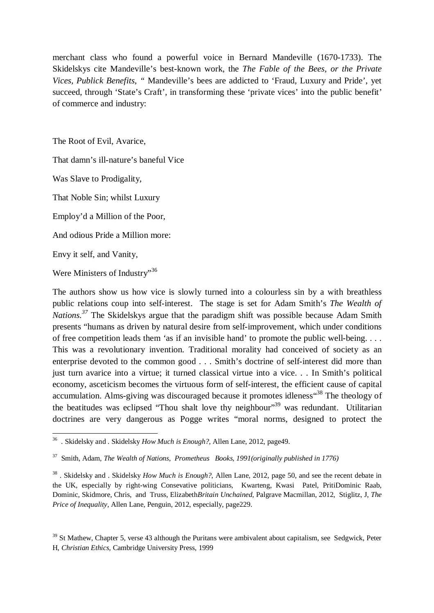merchant class who found a powerful voice in Bernard Mandeville (1670-1733). The Skidelskys cite Mandeville's best-known work, the *The Fable of the Bees, or the Private Vices, Publick Benefits, "* Mandeville's bees are addicted to 'Fraud, Luxury and Pride', yet succeed, through 'State's Craft', in transforming these 'private vices' into the public benefit' of commerce and industry:

The Root of Evil, Avarice,

That damn's ill-nature's baneful Vice

Was Slave to Prodigality,

That Noble Sin; whilst Luxury

Employ'd a Million of the Poor,

And odious Pride a Million more:

Envy it self, and Vanity,

Were Ministers of Industry"<sup>36</sup>

The authors show us how vice is slowly turned into a colourless sin by a with breathless public relations coup into self-interest. The stage is set for Adam Smith's *The Wealth of Nations.<sup>37</sup>* The Skidelskys argue that the paradigm shift was possible because Adam Smith presents "humans as driven by natural desire from self-improvement, which under conditions of free competition leads them 'as if an invisible hand' to promote the public well-being. . . . This was a revolutionary invention. Traditional morality had conceived of society as an enterprise devoted to the common good . . . Smith's doctrine of self-interest did more than just turn avarice into a virtue; it turned classical virtue into a vice. . . In Smith's political economy, asceticism becomes the virtuous form of self-interest, the efficient cause of capital accumulation. Alms-giving was discouraged because it promotes idleness<sup> $38$ </sup> The theology of the beatitudes was eclipsed "Thou shalt love thy neighbour"<sup>39</sup> was redundant. Utilitarian doctrines are very dangerous as Pogge writes "moral norms, designed to protect the

 36 . Skidelsky and . Skidelsky *How Much is Enough?*, Allen Lane, 2012, page49.

<sup>37</sup> Smith, Adam, *The Wealth of Nations, Prometheus Books, 1991(originally published in 1776)*

<sup>&</sup>lt;sup>38</sup>. Skidelsky and . Skidelsky *How Much is Enough?*, Allen Lane, 2012, page 50, and see the recent debate in the UK, especially by right-wing Consevative politicians, Kwarteng, Kwasi Patel, PritiDominic Raab, Dominic, Skidmore, Chris, and Truss, Elizabeth*Britain Unchained,* Palgrave Macmillan, 2012, Stiglitz, J, *The Price of Inequality,* Allen Lane, Penguin, 2012, especially, page229.

<sup>&</sup>lt;sup>39</sup> St Mathew, Chapter 5, verse 43 although the Puritans were ambivalent about capitalism, see Sedgwick, Peter H, *Christian Ethics,* Cambridge University Press, 1999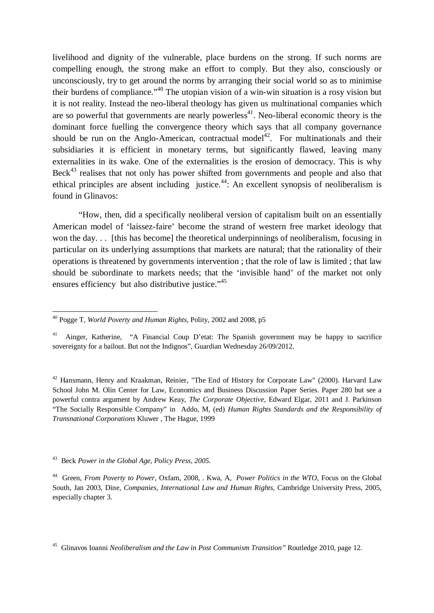livelihood and dignity of the vulnerable, place burdens on the strong. If such norms are compelling enough, the strong make an effort to comply. But they also, consciously or unconsciously, try to get around the norms by arranging their social world so as to minimise their burdens of compliance."<sup>40</sup> The utopian vision of a win-win situation is a rosy vision but it is not reality. Instead the neo-liberal theology has given us multinational companies which are so powerful that governments are nearly powerless<sup>41</sup>. Neo-liberal economic theory is the dominant force fuelling the convergence theory which says that all company governance should be run on the Anglo-American, contractual model<sup>42</sup>. For multinationals and their subsidiaries it is efficient in monetary terms, but significantly flawed, leaving many externalities in its wake. One of the externalities is the erosion of democracy. This is why  $Beck<sup>43</sup>$  realises that not only has power shifted from governments and people and also that ethical principles are absent including justice.<sup>44</sup>: An excellent synopsis of neoliberalism is found in Glinavos:

"How, then, did a specifically neoliberal version of capitalism built on an essentially American model of 'laissez-faire' become the strand of western free market ideology that won the day. . . [this has become] the theoretical underpinnings of neoliberalism, focusing in particular on its underlying assumptions that markets are natural; that the rationality of their operations is threatened by governments intervention ; that the role of law is limited ; that law should be subordinate to markets needs; that the 'invisible hand' of the market not only ensures efficiency but also distributive justice."<sup>45</sup>

45 Glinavos Ioanni *Neoliberalism and the Law in Post Communism Transition"* Routledge 2010, page 12.

 $\overline{a}$ <sup>40</sup> Pogge T, *World Poverty and Human Rights,* Polity, 2002 and 2008, p5

<sup>&</sup>lt;sup>41</sup> Ainger, Katherine, "A Financial Coup D'etat: The Spanish government may be happy to sacrifice sovereignty for a bailout. But not the Indignos", Guardian Wednesday 26/09/2012.

<sup>&</sup>lt;sup>42</sup> Hansmann, Henry and Kraakman, Reinier, "The End of History for Corporate Law" (2000). Harvard Law School John M. Olin Center for Law, Economics and Business Discussion Paper Series. Paper 280 but see a powerful contra argument by Andrew Keay, *The Corporate Objective,* Edward Elgar, 2011 and J. Parkinson "The Socially Responsible Company" in Addo, M, (ed) *Human Rights Standards and the Responsibility of Transnational Corporations* Kluwer , The Hague, 1999

<sup>43</sup> Beck *Power in the Global Age, Policy Press, 2005.* 

<sup>44</sup> Green, *From Poverty to Power,* Oxfam, 2008, . Kwa, A, *Power Politics in the WTO*, Focus on the Global South, Jan 2003, Dine, *Companies, International Law and Human Rights,* Cambridge University Press, 2005, especially chapter 3.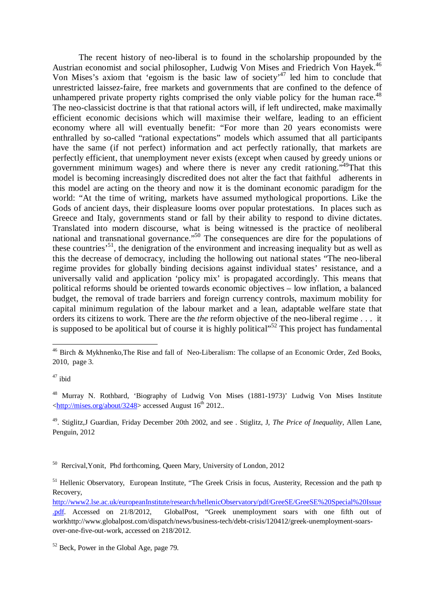The recent history of neo-liberal is to found in the scholarship propounded by the Austrian economist and social philosopher, Ludwig Von Mises and Friedrich Von Hayek.<sup>46</sup> Von Mises's axiom that 'egoism is the basic law of society'<sup>47</sup> led him to conclude that unrestricted laissez-faire, free markets and governments that are confined to the defence of unhampered private property rights comprised the only viable policy for the human race.<sup>48</sup> The neo-classicist doctrine is that that rational actors will, if left undirected, make maximally efficient economic decisions which will maximise their welfare, leading to an efficient economy where all will eventually benefit: "For more than 20 years economists were enthralled by so-called "rational expectations" models which assumed that all participants have the same (if not perfect) information and act perfectly rationally, that markets are perfectly efficient, that unemployment never exists (except when caused by greedy unions or government minimum wages) and where there is never any credit rationing."<sup>49</sup>That this model is becoming increasingly discredited does not alter the fact that faithful adherents in this model are acting on the theory and now it is the dominant economic paradigm for the world: "At the time of writing, markets have assumed mythological proportions. Like the Gods of ancient days, their displeasure looms over popular protestations. In places such as Greece and Italy, governments stand or fall by their ability to respond to divine dictates. Translated into modern discourse, what is being witnessed is the practice of neoliberal national and transnational governance."<sup>50</sup> The consequences are dire for the populations of these countries<sup>51</sup>, the denigration of the environment and increasing inequality but as well as this the decrease of democracy, including the hollowing out national states "The neo-liberal regime provides for globally binding decisions against individual states' resistance, and a universally valid and application 'policy mix' is propagated accordingly. This means that political reforms should be oriented towards economic objectives – low inflation, a balanced budget, the removal of trade barriers and foreign currency controls, maximum mobility for capital minimum regulation of the labour market and a lean, adaptable welfare state that orders its citizens to work. There are the *the* reform objective of the neo-liberal regime . . . it is supposed to be apolitical but of course it is highly political" $52$  This project has fundamental

 $\overline{a}$ 

<sup>50</sup> Rercival, Yonit, Phd forthcoming, Queen Mary, University of London, 2012

<sup>&</sup>lt;sup>46</sup> Birch & Mykhnenko, The Rise and fall of Neo-Liberalism: The collapse of an Economic Order, Zed Books, 2010, page 3.

<sup>47</sup> ibid

<sup>48</sup> Murray N. Rothbard, 'Biography of Ludwig Von Mises (1881-1973)' Ludwig Von Mises Institute  $\langle \frac{\text{http://miss.org/about/3248> accessed August 16^{th}}{2012} \rangle$ 

<sup>49</sup>. Stiglitz,J Guardian, Friday December 20th 2002, and see . Stiglitz, J, *The Price of Inequality*, Allen Lane, Penguin, 2012

<sup>&</sup>lt;sup>51</sup> Hellenic Observatory, European Institute, "The Greek Crisis in focus, Austerity, Recession and the path tp Recovery,

http://www2.lse.ac.uk/europeanInstitute/research/hellenicObservatory/pdf/GreeSE/GreeSE%20Special%20Issue .pdf. Accessed on 21/8/2012, GlobalPost, "Greek unemployment soars with one fifth out of workhttp://www.globalpost.com/dispatch/news/business-tech/debt-crisis/120412/greek-unemployment-soarsover-one-five-out-work, accessed on 218/2012.

 $52$  Beck, Power in the Global Age, page 79.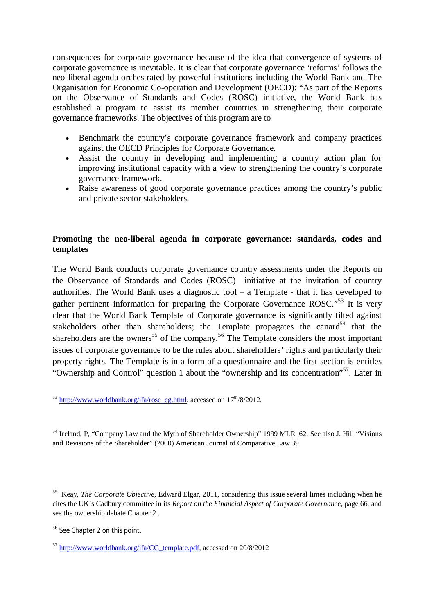consequences for corporate governance because of the idea that convergence of systems of corporate governance is inevitable. It is clear that corporate governance 'reforms' follows the neo-liberal agenda orchestrated by powerful institutions including the World Bank and The Organisation for Economic Co-operation and Development (OECD): "As part of the Reports on the Observance of Standards and Codes (ROSC) initiative, the World Bank has established a program to assist its member countries in strengthening their corporate governance frameworks. The objectives of this program are to

- Benchmark the country's corporate governance framework and company practices against the OECD Principles for Corporate Governance.
- Assist the country in developing and implementing a country action plan for improving institutional capacity with a view to strengthening the country's corporate governance framework.
- Raise awareness of good corporate governance practices among the country's public and private sector stakeholders.

# **Promoting the neo-liberal agenda in corporate governance: standards, codes and templates**

The World Bank conducts corporate governance country assessments under the Reports on the Observance of Standards and Codes (ROSC) initiative at the invitation of country authorities. The World Bank uses a diagnostic tool – a Template - that it has developed to gather pertinent information for preparing the Corporate Governance ROSC.<sup>553</sup> It is very clear that the World Bank Template of Corporate governance is significantly tilted against stakeholders other than shareholders; the Template propagates the canard<sup>54</sup> that the shareholders are the owners<sup>55</sup> of the company.<sup>56</sup> The Template considers the most important issues of corporate governance to be the rules about shareholders' rights and particularly their property rights. The Template is in a form of a questionnaire and the first section is entitles "Ownership and Control" question 1 about the "ownership and its concentration"<sup>57</sup>. Later in

 $^{53}$  http://www.worldbank.org/ifa/rosc\_cg.html, accessed on 17<sup>th</sup>/8/2012.

<sup>54</sup> Ireland, P, "Company Law and the Myth of Shareholder Ownership" 1999 MLR 62, See also J. Hill "Visions and Revisions of the Shareholder" (2000) American Journal of Comparative Law 39.

<sup>55</sup> Keay, *The Corporate Objective,* Edward Elgar, 2011, considering this issue several limes including when he cites the UK's Cadbury committee in its *Report on the Financial Aspect of Corporate Governance,* page 66, and see the ownership debate Chapter 2..

<sup>56</sup> See Chapter 2 on this point.

<sup>57</sup> http://www.worldbank.org/ifa/CG\_template.pdf, accessed on 20/8/2012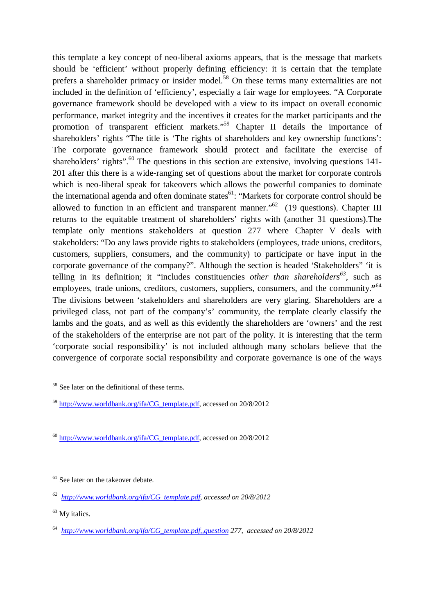this template a key concept of neo-liberal axioms appears, that is the message that markets should be 'efficient' without properly defining efficiency: it is certain that the template prefers a shareholder primacy or insider model.<sup>58</sup> On these terms many externalities are not included in the definition of 'efficiency', especially a fair wage for employees. "A Corporate governance framework should be developed with a view to its impact on overall economic performance, market integrity and the incentives it creates for the market participants and the promotion of transparent efficient markets."<sup>59</sup> Chapter II details the importance of shareholders' rights "The title is 'The rights of shareholders and key ownership functions': The corporate governance framework should protect and facilitate the exercise of shareholders' rights".<sup>60</sup> The questions in this section are extensive, involving questions 141-201 after this there is a wide-ranging set of questions about the market for corporate controls which is neo-liberal speak for takeovers which allows the powerful companies to dominate the international agenda and often dominate states<sup>61</sup>: "Markets for corporate control should be allowed to function in an efficient and transparent manner."<sup>62</sup> (19 questions). Chapter III returns to the equitable treatment of shareholders' rights with (another 31 questions).The template only mentions stakeholders at question 277 where Chapter V deals with stakeholders: "Do any laws provide rights to stakeholders (employees, trade unions, creditors, customers, suppliers, consumers, and the community) to participate or have input in the corporate governance of the company?". Although the section is headed 'Stakeholders" 'it is telling in its definition; it "includes constituencies *other than shareholders<sup>63</sup>*, such as employees, trade unions, creditors, customers, suppliers, consumers, and the community."<sup>64</sup> The divisions between 'stakeholders and shareholders are very glaring. Shareholders are a privileged class, not part of the company's' community, the template clearly classify the lambs and the goats, and as well as this evidently the shareholders are 'owners' and the rest of the stakeholders of the enterprise are not part of the polity. It is interesting that the term 'corporate social responsibility' is not included although many scholars believe that the convergence of corporate social responsibility and corporate governance is one of the ways

 $\overline{a}$ <sup>58</sup> See later on the definitional of these terms.

<sup>59</sup> http://www.worldbank.org/ifa/CG\_template.pdf, accessed on 20/8/2012

 $60$  http://www.worldbank.org/ifa/CG\_template.pdf, accessed on 20/8/2012

<sup>&</sup>lt;sup>61</sup> See later on the takeover debate.

*<sup>62</sup> http://www.worldbank.org/ifa/CG\_template.pdf, accessed on 20/8/2012*

<sup>&</sup>lt;sup>63</sup> My italics.

<sup>64</sup> *http://www.worldbank.org/ifa/CG\_template.pdf,,question 277, accessed on 20/8/2012*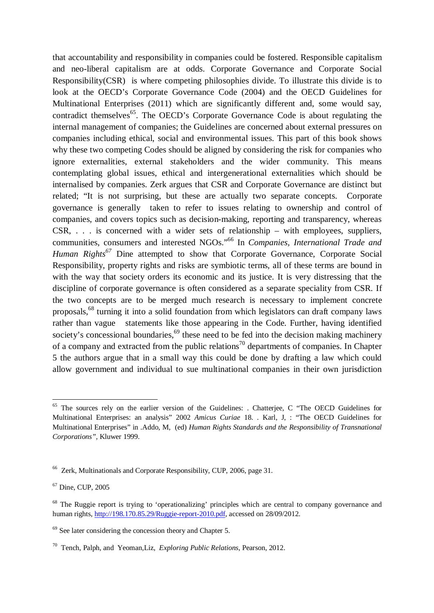that accountability and responsibility in companies could be fostered. Responsible capitalism and neo-liberal capitalism are at odds. Corporate Governance and Corporate Social Responsibility(CSR) is where competing philosophies divide. To illustrate this divide is to look at the OECD's Corporate Governance Code (2004) and the OECD Guidelines for Multinational Enterprises (2011) which are significantly different and, some would say, contradict themselves<sup>65</sup>. The OECD's Corporate Governance Code is about regulating the internal management of companies; the Guidelines are concerned about external pressures on companies including ethical, social and environmental issues. This part of this book shows why these two competing Codes should be aligned by considering the risk for companies who ignore externalities, external stakeholders and the wider community. This means contemplating global issues, ethical and intergenerational externalities which should be internalised by companies. Zerk argues that CSR and Corporate Governance are distinct but related; "It is not surprising, but these are actually two separate concepts. Corporate governance is generally taken to refer to issues relating to ownership and control of companies, and covers topics such as decision-making, reporting and transparency, whereas CSR, . . . is concerned with a wider sets of relationship – with employees, suppliers, communities, consumers and interested NGOs."<sup>66</sup> In *Companies, International Trade and Human Rights*<sup>67</sup> Dine attempted to show that Corporate Governance, Corporate Social Responsibility, property rights and risks are symbiotic terms, all of these terms are bound in with the way that society orders its economic and its justice. It is very distressing that the discipline of corporate governance is often considered as a separate speciality from CSR. If the two concepts are to be merged much research is necessary to implement concrete proposals,<sup>68</sup> turning it into a solid foundation from which legislators can draft company laws rather than vague statements like those appearing in the Code. Further, having identified society's concessional boundaries,<sup>69</sup> these need to be fed into the decision making machinery of a company and extracted from the public relations<sup>70</sup> departments of companies. In Chapter 5 the authors argue that in a small way this could be done by drafting a law which could allow government and individual to sue multinational companies in their own jurisdiction

<sup>&</sup>lt;sup>65</sup> The sources rely on the earlier version of the Guidelines: . Chatterjee, C "The OECD Guidelines for Multinational Enterprises: an analysis" 2002 *Amicus Curiae* 18. . Karl, J, : "The OECD Guidelines for Multinational Enterprises" in .Addo, M, (ed) *Human Rights Standards and the Responsibility of Transnational Corporations",* Kluwer 1999.

<sup>&</sup>lt;sup>66</sup> Zerk, Multinationals and Corporate Responsibility, CUP, 2006, page 31.

<sup>67</sup> Dine, CUP, 2005

<sup>&</sup>lt;sup>68</sup> The Ruggie report is trying to 'operationalizing' principles which are central to company governance and human rights, http://198.170.85.29/Ruggie-report-2010.pdf, accessed on 28/09/2012.

<sup>&</sup>lt;sup>69</sup> See later considering the concession theory and Chapter 5.

<sup>70</sup> Tench, Palph, and Yeoman,Liz, *Exploring Public Relations*, Pearson, 2012.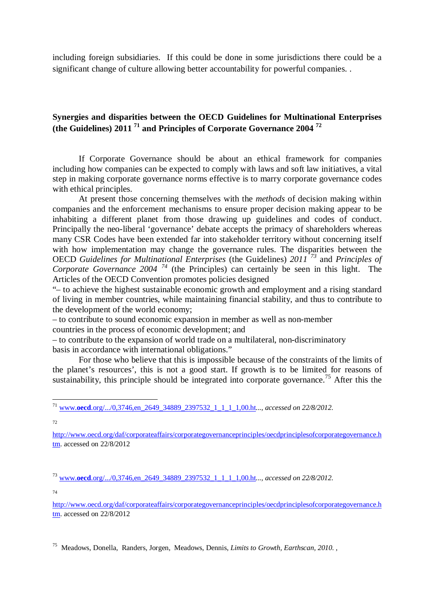including foreign subsidiaries. If this could be done in some jurisdictions there could be a significant change of culture allowing better accountability for powerful companies. .

# **Synergies and disparities between the OECD Guidelines for Multinational Enterprises (the Guidelines) 2011 <sup>71</sup> and Principles of Corporate Governance 2004 <sup>72</sup>**

If Corporate Governance should be about an ethical framework for companies including how companies can be expected to comply with laws and soft law initiatives, a vital step in making corporate governance norms effective is to marry corporate governance codes with ethical principles.

At present those concerning themselves with the *methods* of decision making within companies and the enforcement mechanisms to ensure proper decision making appear to be inhabiting a different planet from those drawing up guidelines and codes of conduct. Principally the neo-liberal 'governance' debate accepts the primacy of shareholders whereas many CSR Codes have been extended far into stakeholder territory without concerning itself with how implementation may change the governance rules. The disparities between the OECD *Guidelines for Multinational Enterprises* (the Guidelines) *2011 <sup>73</sup>* and *Principles of Corporate Governance 2004 <sup>74</sup>* (the Principles) can certainly be seen in this light. The Articles of the OECD Convention promotes policies designed

"– to achieve the highest sustainable economic growth and employment and a rising standard of living in member countries, while maintaining financial stability, and thus to contribute to the development of the world economy;

– to contribute to sound economic expansion in member as well as non-member

countries in the process of economic development; and

– to contribute to the expansion of world trade on a multilateral, non-discriminatory basis in accordance with international obligations."

For those who believe that this is impossible because of the constraints of the limits of the planet's resources', this is not a good start. If growth is to be limited for reasons of sustainability, this principle should be integrated into corporate governance.<sup>75</sup> After this the

72

http://www.oecd.org/daf/corporateaffairs/corporategovernanceprinciples/oecdprinciplesofcorporategovernance.h tm. accessed on 22/8/2012

<sup>73</sup> www.**oecd**.org/.../0,3746,en\_2649\_34889\_2397532\_1\_1\_1\_1,00.ht*..., accessed on 22/8/2012.*

74

http://www.oecd.org/daf/corporateaffairs/corporategovernanceprinciples/oecdprinciplesofcorporategovernance.h tm. accessed on 22/8/2012

75 Meadows, Donella, Randers, Jorgen, Meadows, Dennis, *Limits to Growth, Earthscan, 2010. ,*

 $\overline{a}$ <sup>71</sup> www.**oecd**.org/.../0,3746,en\_2649\_34889\_2397532\_1\_1\_1\_1,00.ht*..., accessed on 22/8/2012.*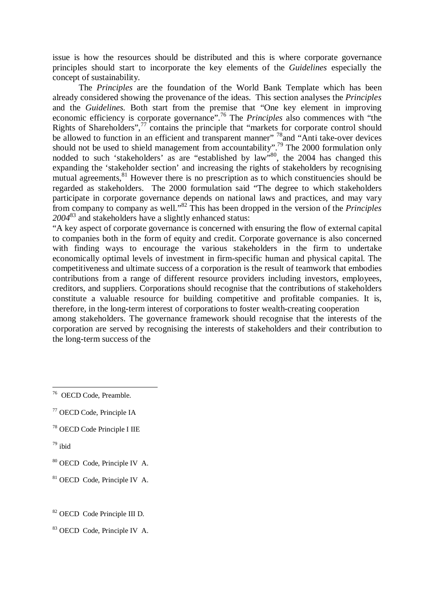issue is how the resources should be distributed and this is where corporate governance principles should start to incorporate the key elements of the *Guidelines* especially the concept of sustainability.

The *Principles* are the foundation of the World Bank Template which has been already considered showing the provenance of the ideas. This section analyses the *Principles*  and the *Guidelines.* Both start from the premise that "One key element in improving economic efficiency is corporate governance".<sup>76</sup> The *Principles* also commences with "the Rights of Shareholders",<sup>77</sup> contains the principle that "markets for corporate control should be allowed to function in an efficient and transparent manner" <sup>78</sup>and "Anti take-over devices should not be used to shield management from accountability".<sup>79</sup> The 2000 formulation only nodded to such 'stakeholders' as are "established by law"<sup>80</sup>, the 2004 has changed this expanding the 'stakeholder section' and increasing the rights of stakeholders by recognising mutual agreements, $81$  However there is no prescription as to which constituencies should be regarded as stakeholders. The 2000 formulation said "The degree to which stakeholders participate in corporate governance depends on national laws and practices, and may vary from company to company as well."<sup>82</sup> This has been dropped in the version of the *Principles 2004*<sup>83</sup> and stakeholders have a slightly enhanced status:

"A key aspect of corporate governance is concerned with ensuring the flow of external capital to companies both in the form of equity and credit. Corporate governance is also concerned with finding ways to encourage the various stakeholders in the firm to undertake economically optimal levels of investment in firm-specific human and physical capital. The competitiveness and ultimate success of a corporation is the result of teamwork that embodies contributions from a range of different resource providers including investors, employees, creditors, and suppliers. Corporations should recognise that the contributions of stakeholders constitute a valuable resource for building competitive and profitable companies. It is, therefore, in the long-term interest of corporations to foster wealth-creating cooperation among stakeholders. The governance framework should recognise that the interests of the corporation are served by recognising the interests of stakeholders and their contribution to the long-term success of the

- $79$  ibid
- <sup>80</sup> OECD Code, Principle IV A.
- <sup>81</sup> OECD Code, Principle IV A.

<sup>83</sup> OECD Code, Principle IV A.

 76 OECD Code, Preamble.

<sup>77</sup> OECD Code, Principle IA

<sup>78</sup> OECD Code Principle I IIE

<sup>82</sup> OECD Code Principle III D.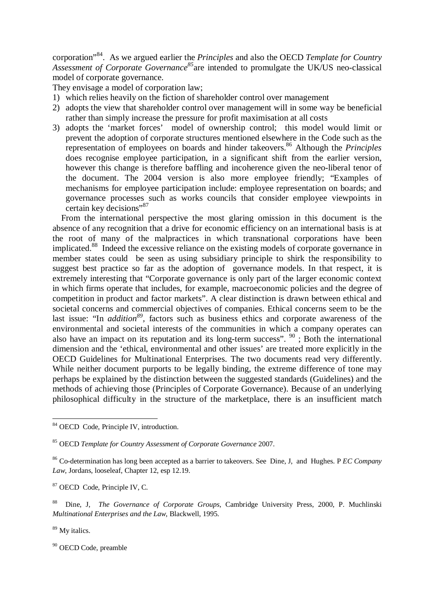corporation"<sup>84</sup>. As we argued earlier the *Principles* and also the OECD *Template for Country Assessment of Corporate Governance<sup>85</sup>*are intended to promulgate the UK/US neo-classical model of corporate governance.

They envisage a model of corporation law;

- 1) which relies heavily on the fiction of shareholder control over management
- 2) adopts the view that shareholder control over management will in some way be beneficial rather than simply increase the pressure for profit maximisation at all costs
- 3) adopts the 'market forces' model of ownership control; this model would limit or prevent the adoption of corporate structures mentioned elsewhere in the Code such as the representation of employees on boards and hinder takeovers.<sup>86</sup> Although the *Principles*  does recognise employee participation, in a significant shift from the earlier version, however this change is therefore baffling and incoherence given the neo-liberal tenor of the document. The 2004 version is also more employee friendly; "Examples of mechanisms for employee participation include: employee representation on boards; and governance processes such as works councils that consider employee viewpoints in certain key decisions"<sup>87</sup>

 From the international perspective the most glaring omission in this document is the absence of any recognition that a drive for economic efficiency on an international basis is at the root of many of the malpractices in which transnational corporations have been implicated.<sup>88</sup> Indeed the excessive reliance on the existing models of corporate governance in member states could be seen as using subsidiary principle to shirk the responsibility to suggest best practice so far as the adoption of governance models. In that respect, it is extremely interesting that "Corporate governance is only part of the larger economic context in which firms operate that includes, for example, macroeconomic policies and the degree of competition in product and factor markets". A clear distinction is drawn between ethical and societal concerns and commercial objectives of companies. Ethical concerns seem to be the last issue: "In *addition*<sup>89</sup>, factors such as business ethics and corporate awareness of the environmental and societal interests of the communities in which a company operates can also have an impact on its reputation and its long-term success".  $90$ ; Both the international dimension and the 'ethical, environmental and other issues' are treated more explicitly in the OECD Guidelines for Multinational Enterprises. The two documents read very differently. While neither document purports to be legally binding, the extreme difference of tone may perhaps be explained by the distinction between the suggested standards (Guidelines) and the methods of achieving those (Principles of Corporate Governance). Because of an underlying philosophical difficulty in the structure of the marketplace, there is an insufficient match

<sup>87</sup> OECD Code, Principle IV, C.

<sup>89</sup> My italics.

 $\overline{a}$ 

<sup>90</sup> OECD Code, preamble

<sup>&</sup>lt;sup>84</sup> OECD Code, Principle IV, introduction.

<sup>85</sup> OECD *Template for Country Assessment of Corporate Governance* 2007.

<sup>86</sup> Co-determination has long been accepted as a barrier to takeovers. See Dine, J, and Hughes. P *EC Company Law*, Jordans, looseleaf, Chapter 12, esp 12.19.

<sup>88</sup> Dine, J, *The Governance of Corporate Groups*, Cambridge University Press, 2000, P. Muchlinski *Multinational Enterprises and the Law*, Blackwell, 1995.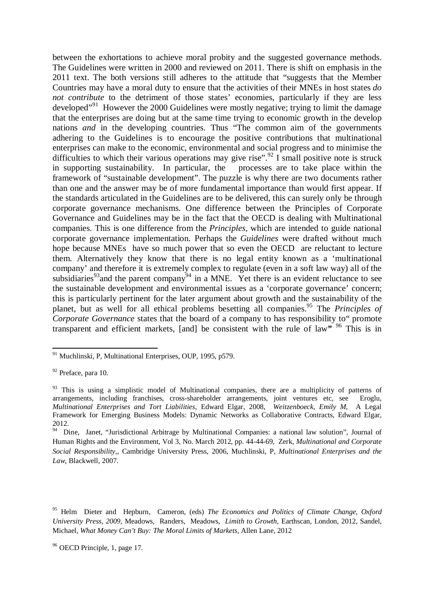between the exhortations to achieve moral probity and the suggested governance methods. The Guidelines were written in 2000 and reviewed on 2011. There is shift on emphasis in the 2011 text. The both versions still adheres to the attitude that "suggests that the Member Countries may have a moral duty to ensure that the activities of their MNEs in host states *do not contribute* to the detriment of those states' economies, particularly if they are less developed"<sup>91</sup> However the 2000 Guidelines were mostly negative; trying to limit the damage that the enterprises are doing but at the same time trying to economic growth in the develop nations *and* in the developing countries. Thus "The common aim of the governments adhering to the Guidelines is to encourage the positive contributions that multinational enterprises can make to the economic, environmental and social progress and to minimise the difficulties to which their various operations may give rise".<sup>92</sup> I small positive note is struck in supporting sustainability. In particular, the processes are to take place within the framework of "sustainable development". The puzzle is why there are two documents rather than one and the answer may be of more fundamental importance than would first appear. If the standards articulated in the Guidelines are to be delivered, this can surely only be through corporate governance mechanisms. One difference between the Principles of Corporate Governance and Guidelines may be in the fact that the OECD is dealing with Multinational companies. This is one difference from the *Principles,* which are intended to guide national corporate governance implementation. Perhaps the *Guidelines* were drafted without much hope because MNEs have so much power that so even the OECD are reluctant to lecture them. Alternatively they know that there is no legal entity known as a 'multinational company' and therefore it is extremely complex to regulate (even in a soft law way) all of the subsidiaries<sup>93</sup> and the parent company<sup>94</sup> in a MNE. Yet there is an evident reluctance to see the sustainable development and environmental issues as a 'corporate governance' concern; this is particularly pertinent for the later argument about growth and the sustainability of the planet, but as well for all ethical problems besetting all companies.<sup>95</sup> The *Principles of Corporate Governance* states that the board of a company to has responsibility to "promote" transparent and efficient markets, [and] be consistent with the rule of law*"* <sup>96</sup> This is in

<sup>96</sup> OECD Principle, 1, page 17.

 $\overline{\phantom{a}}$ <sup>91</sup> Muchlinski, P, Multinational Enterprises, OUP, 1995, p579.

<sup>&</sup>lt;sup>92</sup> Preface, para 10.

<sup>&</sup>lt;sup>93</sup> This is using a simplistic model of Multinational companies, there are a multiplicity of patterns of arrangements, including franchises, cross-shareholder arrangements, joint ventures etc, see Eroglu, *Multinational Enterprises and Tort Liabilities,* Edward Elgar, 2008, *Weitzenboeck, Emily M,* A Legal Framework for Emerging Business Models: Dynamic Networks as Collaborative Contracts, Edward Elgar, 2012.

<sup>&</sup>lt;sup>94</sup> Dine, Janet, "Jurisdictional Arbitrage by Multinational Companies: a national law solution", Journal of Human Rights and the Environment, Vol 3, No. March 2012, pp. 44-44-69, Zerk, *Multinational and Corporate Social Responsibility,*, Cambridge University Press, 2006, Muchlinski, P, *Multinational Enterprises and the Law*, Blackwell, 2007.

<sup>95</sup> Helm Dieter and Hepburn, Cameron, (eds) *The Economics and Politics of Climate Change, Oxford University Press, 2009,* Meadows, Randers, Meadows, *Limith to Growth,* Earthscan, London, 2012, Sandel, Michael, *What Money Can't Buy: The Moral Limits of Markets,* Allen Lane, 2012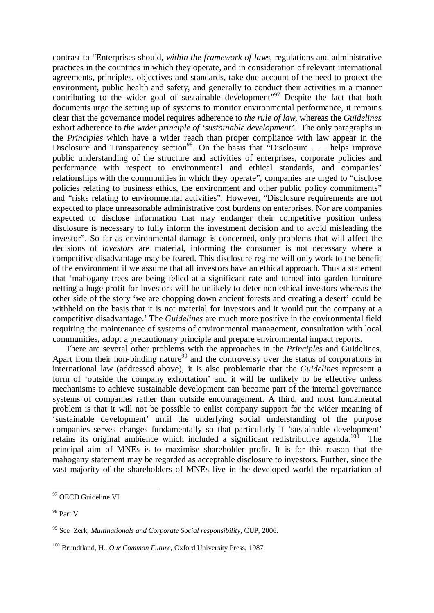contrast to "Enterprises should, *within the framework of laws*, regulations and administrative practices in the countries in which they operate, and in consideration of relevant international agreements, principles, objectives and standards, take due account of the need to protect the environment, public health and safety, and generally to conduct their activities in a manner contributing to the wider goal of sustainable development"<sup>97</sup> Despite the fact that both documents urge the setting up of systems to monitor environmental performance, it remains clear that the governance model requires adherence to *the rule of law*, whereas the *Guidelines* exhort adherence to *the wider principle of 'sustainable development'*. The only paragraphs in the *Principles* which have a wider reach than proper compliance with law appear in the Disclosure and Transparency section<sup>98</sup>. On the basis that "Disclosure . . . helps improve public understanding of the structure and activities of enterprises, corporate policies and performance with respect to environmental and ethical standards, and companies' relationships with the communities in which they operate", companies are urged to "disclose policies relating to business ethics, the environment and other public policy commitments" and "risks relating to environmental activities". However, "Disclosure requirements are not expected to place unreasonable administrative cost burdens on enterprises. Nor are companies expected to disclose information that may endanger their competitive position unless disclosure is necessary to fully inform the investment decision and to avoid misleading the investor". So far as environmental damage is concerned, only problems that will affect the decisions of *investors* are material, informing the consumer is not necessary where a competitive disadvantage may be feared. This disclosure regime will only work to the benefit of the environment if we assume that all investors have an ethical approach. Thus a statement that 'mahogany trees are being felled at a significant rate and turned into garden furniture netting a huge profit for investors will be unlikely to deter non-ethical investors whereas the other side of the story 'we are chopping down ancient forests and creating a desert' could be withheld on the basis that it is not material for investors and it would put the company at a competitive disadvantage.' The *Guidelines* are much more positive in the environmental field requiring the maintenance of systems of environmental management, consultation with local communities, adopt a precautionary principle and prepare environmental impact reports.

There are several other problems with the approaches in the *Principles* and Guidelines. Apart from their non-binding nature<sup>99</sup> and the controversy over the status of corporations in international law (addressed above), it is also problematic that the *Guidelines* represent a form of 'outside the company exhortation' and it will be unlikely to be effective unless mechanisms to achieve sustainable development can become part of the internal governance systems of companies rather than outside encouragement. A third, and most fundamental problem is that it will not be possible to enlist company support for the wider meaning of 'sustainable development' until the underlying social understanding of the purpose companies serves changes fundamentally so that particularly if 'sustainable development' retains its original ambience which included a significant redistributive agenda.<sup>100</sup> The principal aim of MNEs is to maximise shareholder profit. It is for this reason that the mahogany statement may be regarded as acceptable disclosure to investors. Further, since the vast majority of the shareholders of MNEs live in the developed world the repatriation of

<sup>&</sup>lt;sup>97</sup> OECD Guideline VI

<sup>98</sup> Part V

<sup>99</sup> See Zerk, *Multinationals and Corporate Social responsibility,* CUP, 2006.

<sup>100</sup> Brundtland, H., *Our Common Future,* Oxford University Press, 1987.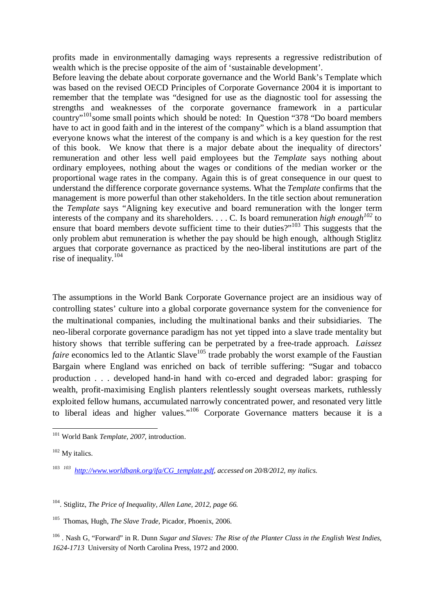profits made in environmentally damaging ways represents a regressive redistribution of wealth which is the precise opposite of the aim of 'sustainable development'.

Before leaving the debate about corporate governance and the World Bank's Template which was based on the revised OECD Principles of Corporate Governance 2004 it is important to remember that the template was "designed for use as the diagnostic tool for assessing the strengths and weaknesses of the corporate governance framework in a particular country"<sup>101</sup> some small points which should be noted: In Question "378 "Do board members" have to act in good faith and in the interest of the company" which is a bland assumption that everyone knows what the interest of the company is and which is a key question for the rest of this book. We know that there is a major debate about the inequality of directors' remuneration and other less well paid employees but the *Template* says nothing about ordinary employees, nothing about the wages or conditions of the median worker or the proportional wage rates in the company. Again this is of great consequence in our quest to understand the difference corporate governance systems. What the *Template* confirms that the management is more powerful than other stakeholders. In the title section about remuneration the *Template* says "Aligning key executive and board remuneration with the longer term interests of the company and its shareholders. . . . C. Is board remuneration *high enough<sup>102</sup>* to ensure that board members devote sufficient time to their duties?"<sup>103</sup> This suggests that the only problem abut remuneration is whether the pay should be high enough, although Stiglitz argues that corporate governance as practiced by the neo-liberal institutions are part of the rise of inequality.<sup>104</sup>

The assumptions in the World Bank Corporate Governance project are an insidious way of controlling states' culture into a global corporate governance system for the convenience for the multinational companies, including the multinational banks and their subsidiaries. The neo-liberal corporate governance paradigm has not yet tipped into a slave trade mentality but history shows that terrible suffering can be perpetrated by a free-trade approach. *Laissez faire* economics led to the Atlantic Slave<sup>105</sup> trade probably the worst example of the Faustian Bargain where England was enriched on back of terrible suffering: "Sugar and tobacco production . . . developed hand-in hand with co-erced and degraded labor: grasping for wealth, profit-maximising English planters relentlessly sought overseas markets, ruthlessly exploited fellow humans, accumulated narrowly concentrated power, and resonated very little to liberal ideas and higher values."<sup>106</sup> Corporate Governance matters because it is a

 $\overline{a}$ 

<sup>104</sup>. Stiglitz, *The Price of Inequality, Allen Lane, 2012, page 66.*

105 Thomas, Hugh, *The Slave Trade,* Picador, Phoenix, 2006.

<sup>106</sup> . Nash G, "Forward" in R. Dunn *Sugar and Slaves: The Rise of the Planter Class in the English West Indies, 1624-1713* University of North Carolina Press, 1972 and 2000.

<sup>101</sup> World Bank *Template, 2007,* introduction.

 $102$  My italics.

<sup>&</sup>lt;sup>103</sup> <sup>103</sup> http://www.worldbank.org/ifa/CG\_template.pdf, accessed on 20/8/2012, my italics.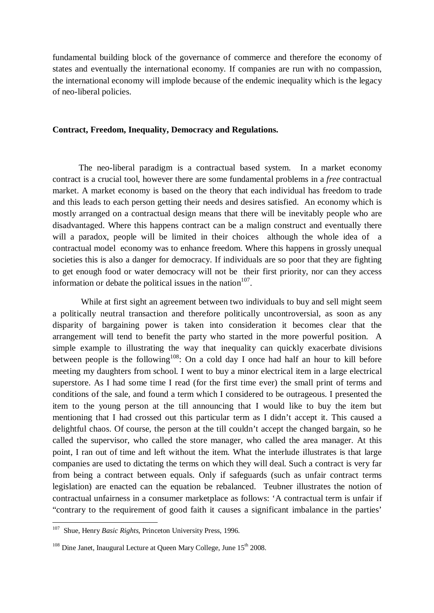fundamental building block of the governance of commerce and therefore the economy of states and eventually the international economy. If companies are run with no compassion, the international economy will implode because of the endemic inequality which is the legacy of neo-liberal policies.

#### **Contract, Freedom, Inequality, Democracy and Regulations.**

The neo-liberal paradigm is a contractual based system. In a market economy contract is a crucial tool, however there are some fundamental problems in a *free* contractual market. A market economy is based on the theory that each individual has freedom to trade and this leads to each person getting their needs and desires satisfied. An economy which is mostly arranged on a contractual design means that there will be inevitably people who are disadvantaged. Where this happens contract can be a malign construct and eventually there will a paradox, people will be limited in their choices although the whole idea of a contractual model economy was to enhance freedom. Where this happens in grossly unequal societies this is also a danger for democracy. If individuals are so poor that they are fighting to get enough food or water democracy will not be their first priority, nor can they access information or debate the political issues in the nation  $107$ .

While at first sight an agreement between two individuals to buy and sell might seem a politically neutral transaction and therefore politically uncontroversial, as soon as any disparity of bargaining power is taken into consideration it becomes clear that the arrangement will tend to benefit the party who started in the more powerful position. A simple example to illustrating the way that inequality can quickly exacerbate divisions between people is the following<sup>108</sup>: On a cold day I once had half an hour to kill before meeting my daughters from school. I went to buy a minor electrical item in a large electrical superstore. As I had some time I read (for the first time ever) the small print of terms and conditions of the sale, and found a term which I considered to be outrageous. I presented the item to the young person at the till announcing that I would like to buy the item but mentioning that I had crossed out this particular term as I didn't accept it. This caused a delightful chaos. Of course, the person at the till couldn't accept the changed bargain, so he called the supervisor, who called the store manager, who called the area manager. At this point, I ran out of time and left without the item. What the interlude illustrates is that large companies are used to dictating the terms on which they will deal. Such a contract is very far from being a contract between equals. Only if safeguards (such as unfair contract terms legislation) are enacted can the equation be rebalanced. Teubner illustrates the notion of contractual unfairness in a consumer marketplace as follows: 'A contractual term is unfair if "contrary to the requirement of good faith it causes a significant imbalance in the parties'

<sup>&</sup>lt;sup>107</sup> Shue, Henry *Basic Rights*, Princeton University Press, 1996.

 $108$  Dine Janet, Inaugural Lecture at Queen Mary College, June  $15<sup>th</sup>$  2008.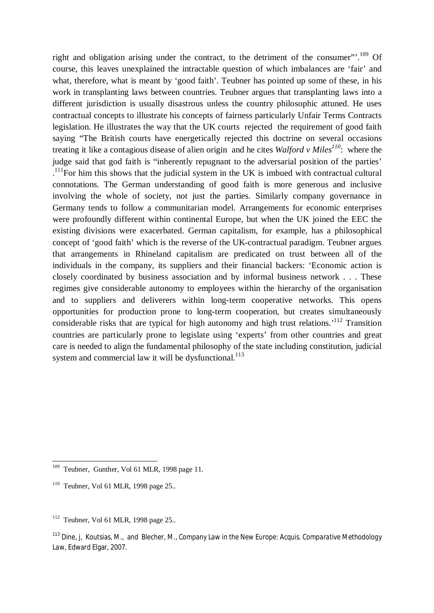right and obligation arising under the contract, to the detriment of the consumer".<sup>109</sup> Of course, this leaves unexplained the intractable question of which imbalances are 'fair' and what, therefore, what is meant by 'good faith'. Teubner has pointed up some of these, in his work in transplanting laws between countries. Teubner argues that transplanting laws into a different jurisdiction is usually disastrous unless the country philosophic attuned. He uses contractual concepts to illustrate his concepts of fairness particularly Unfair Terms Contracts legislation. He illustrates the way that the UK courts rejected the requirement of good faith saying "The British courts have energetically rejected this doctrine on several occasions treating it like a contagious disease of alien origin and he cites *Walford v Miles<sup>110</sup>* : where the judge said that god faith is "inherently repugnant to the adversarial position of the parties' <sup>111</sup>For him this shows that the judicial system in the UK is imbued with contractual cultural connotations. The German understanding of good faith is more generous and inclusive involving the whole of society, not just the parties. Similarly company governance in Germany tends to follow a communitarian model. Arrangements for economic enterprises were profoundly different within continental Europe, but when the UK joined the EEC the existing divisions were exacerbated. German capitalism, for example, has a philosophical concept of 'good faith' which is the reverse of the UK-contractual paradigm. Teubner argues that arrangements in Rhineland capitalism are predicated on trust between all of the individuals in the company, its suppliers and their financial backers: 'Economic action is closely coordinated by business association and by informal business network . . . These regimes give considerable autonomy to employees within the hierarchy of the organisation and to suppliers and deliverers within long-term cooperative networks. This opens opportunities for production prone to long-term cooperation, but creates simultaneously considerable risks that are typical for high autonomy and high trust relations.<sup>'112</sup> Transition countries are particularly prone to legislate using 'experts' from other countries and great care is needed to align the fundamental philosophy of the state including constitution, judicial system and commercial law it will be dysfunctional.<sup>113</sup>

 109 Teubner, Gunther, Vol 61 MLR, 1998 page 11.

<sup>&</sup>lt;sup>110</sup> Teubner, Vol 61 MLR, 1998 page 25..

<sup>&</sup>lt;sup>112</sup> Teubner, Vol 61 MLR, 1998 page 25..

<sup>113</sup> Dine, j, Koutsias, M., and Blecher, M., *Company Law in the New Europe: Acquis. Comparative Methodology Law,* Edward Elgar, 2007.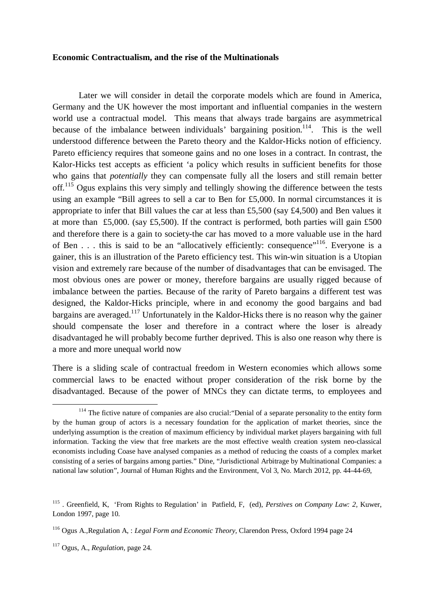#### **Economic Contractualism, and the rise of the Multinationals**

Later we will consider in detail the corporate models which are found in America, Germany and the UK however the most important and influential companies in the western world use a contractual model. This means that always trade bargains are asymmetrical because of the imbalance between individuals' bargaining position.<sup>114</sup>. This is the well understood difference between the Pareto theory and the Kaldor-Hicks notion of efficiency. Pareto efficiency requires that someone gains and no one loses in a contract. In contrast, the Kalor-Hicks test accepts as efficient 'a policy which results in sufficient benefits for those who gains that *potentially* they can compensate fully all the losers and still remain better off.<sup>115</sup> Ogus explains this very simply and tellingly showing the difference between the tests using an example "Bill agrees to sell a car to Ben for £5,000. In normal circumstances it is appropriate to infer that Bill values the car at less than £5,500 (say £4,500) and Ben values it at more than £5,000. (say £5,500). If the contract is performed, both parties will gain £500 and therefore there is a gain to society-the car has moved to a more valuable use in the hard of Ben . . . this is said to be an "allocatively efficiently: consequence"<sup>116</sup>. Everyone is a gainer, this is an illustration of the Pareto efficiency test. This win-win situation is a Utopian vision and extremely rare because of the number of disadvantages that can be envisaged. The most obvious ones are power or money, therefore bargains are usually rigged because of imbalance between the parties. Because of the rarity of Pareto bargains a different test was designed, the Kaldor-Hicks principle, where in and economy the good bargains and bad bargains are averaged.<sup>117</sup> Unfortunately in the Kaldor-Hicks there is no reason why the gainer should compensate the loser and therefore in a contract where the loser is already disadvantaged he will probably become further deprived. This is also one reason why there is a more and more unequal world now

There is a sliding scale of contractual freedom in Western economies which allows some commercial laws to be enacted without proper consideration of the risk borne by the disadvantaged. Because of the power of MNCs they can dictate terms, to employees and

<sup>&</sup>lt;sup>114</sup> The fictive nature of companies are also crucial: "Denial of a separate personality to the entity form by the human group of actors is a necessary foundation for the application of market theories, since the underlying assumption is the creation of maximum efficiency by individual market players bargaining with full information. Tacking the view that free markets are the most effective wealth creation system neo-classical economists including Coase have analysed companies as a method of reducing the coasts of a complex market consisting of a series of bargains among parties." Dine, "Jurisdictional Arbitrage by Multinational Companies: a national law solution", Journal of Human Rights and the Environment, Vol 3, No. March 2012, pp. 44-44-69,

<sup>115</sup> . Greenfield, K, 'From Rights to Regulation' in Patfield, F, (ed), *Perstives on Company Law: 2,* Kuwer, London 1997, page 10.

<sup>116</sup> Ogus A.,Regulation A, : *Legal Form and Economic Theory,* Clarendon Press, Oxford 1994 page 24

<sup>117</sup> Ogus, A., *Regulation,* page 24.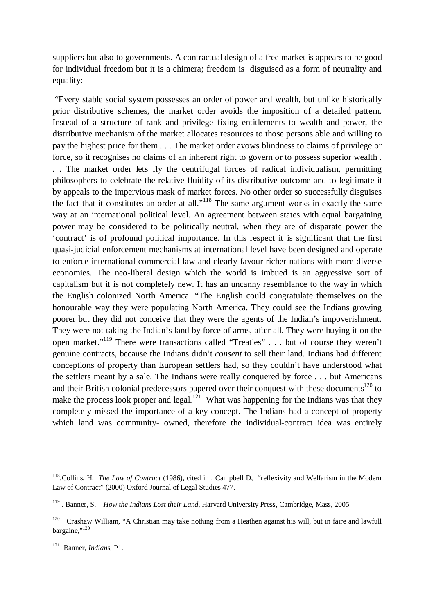suppliers but also to governments. A contractual design of a free market is appears to be good for individual freedom but it is a chimera; freedom is disguised as a form of neutrality and equality:

"Every stable social system possesses an order of power and wealth, but unlike historically prior distributive schemes, the market order avoids the imposition of a detailed pattern. Instead of a structure of rank and privilege fixing entitlements to wealth and power, the distributive mechanism of the market allocates resources to those persons able and willing to pay the highest price for them . . . The market order avows blindness to claims of privilege or force, so it recognises no claims of an inherent right to govern or to possess superior wealth . . . The market order lets fly the centrifugal forces of radical individualism, permitting philosophers to celebrate the relative fluidity of its distributive outcome and to legitimate it by appeals to the impervious mask of market forces. No other order so successfully disguises the fact that it constitutes an order at all."<sup>118</sup> The same argument works in exactly the same way at an international political level. An agreement between states with equal bargaining power may be considered to be politically neutral, when they are of disparate power the 'contract' is of profound political importance. In this respect it is significant that the first quasi-judicial enforcement mechanisms at international level have been designed and operate to enforce international commercial law and clearly favour richer nations with more diverse economies. The neo-liberal design which the world is imbued is an aggressive sort of capitalism but it is not completely new. It has an uncanny resemblance to the way in which the English colonized North America. "The English could congratulate themselves on the honourable way they were populating North America. They could see the Indians growing poorer but they did not conceive that they were the agents of the Indian's impoverishment. They were not taking the Indian's land by force of arms, after all. They were buying it on the open market."<sup>119</sup> There were transactions called "Treaties" . . . but of course they weren't genuine contracts, because the Indians didn't *consent* to sell their land. Indians had different conceptions of property than European settlers had, so they couldn't have understood what the settlers meant by a sale. The Indians were really conquered by force . . . but Americans and their British colonial predecessors papered over their conquest with these documents<sup>120</sup> to make the process look proper and legal.<sup>121</sup> What was happening for the Indians was that they completely missed the importance of a key concept. The Indians had a concept of property which land was community- owned, therefore the individual-contract idea was entirely

 $\overline{\phantom{a}}$ 

<sup>118</sup>.Collins, H, *The Law of Contract* (1986), cited in . Campbell D, "reflexivity and Welfarism in the Modern Law of Contract" (2000) Oxford Journal of Legal Studies 477.

<sup>&</sup>lt;sup>119</sup> . Banner, S, *How the Indians Lost their Land*, Harvard University Press, Cambridge, Mass, 2005

<sup>&</sup>lt;sup>120</sup> Crashaw William, "A Christian may take nothing from a Heathen against his will, but in faire and lawfull bargaine."<sup>120</sup>

<sup>121</sup> Banner, *Indians,* P1.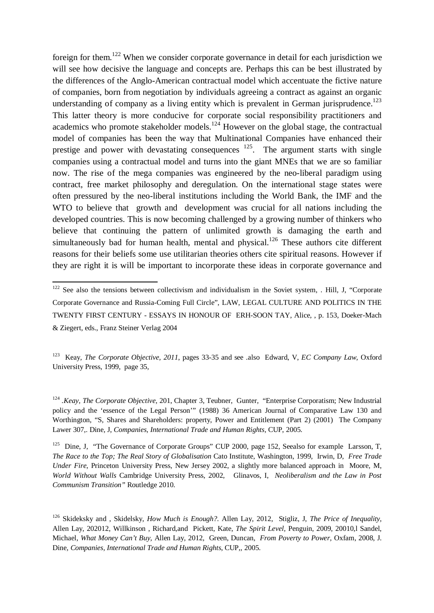foreign for them.<sup>122</sup> When we consider corporate governance in detail for each jurisdiction we will see how decisive the language and concepts are. Perhaps this can be best illustrated by the differences of the Anglo-American contractual model which accentuate the fictive nature of companies, born from negotiation by individuals agreeing a contract as against an organic understanding of company as a living entity which is prevalent in German jurisprudence.<sup>123</sup> This latter theory is more conducive for corporate social responsibility practitioners and academics who promote stakeholder models.<sup>124</sup> However on the global stage, the contractual model of companies has been the way that Multinational Companies have enhanced their prestige and power with devastating consequences  $125$ . The argument starts with single companies using a contractual model and turns into the giant MNEs that we are so familiar now. The rise of the mega companies was engineered by the neo-liberal paradigm using contract, free market philosophy and deregulation. On the international stage states were often pressured by the neo-liberal institutions including the World Bank, the IMF and the WTO to believe that growth and development was crucial for all nations including the developed countries. This is now becoming challenged by a growing number of thinkers who believe that continuing the pattern of unlimited growth is damaging the earth and simultaneously bad for human health, mental and physical.<sup>126</sup> These authors cite different reasons for their beliefs some use utilitarian theories others cite spiritual reasons. However if they are right it is will be important to incorporate these ideas in corporate governance and

 $\overline{a}$ 

123 Keay*, The Corporate Objective, 2011*, pages 33-35 and see .also Edward, V, *EC Company Law,* Oxford University Press, 1999, page 35,

<sup>124</sup> *.Keay, The Corporate Objective,* 201, Chapter 3, Teubner, Gunter, "Enterprise Corporatism; New Industrial policy and the 'essence of the Legal Person'" (1988) 36 American Journal of Comparative Law 130 and Worthington, "S, Shares and Shareholders: property, Power and Entitlement (Part 2) (2001) The Company Lawer 307,. Dine, J, *Companies, International Trade and Human Rights,* CUP, 2005.

<sup>125</sup> Dine, J, "The Governance of Corporate Groups" CUP 2000, page 152, Seealso for example Larsson, T, *The Race to the Top; The Real Story of Globalisation* Cato Institute, Washington, 1999, Irwin, D, *Free Trade Under Fire*, Princeton University Press, New Jersey 2002, a slightly more balanced approach in Moore, M, *World Without Walls* Cambridge University Press, 2002, Glinavos, I, *Neoliberalism and the Law in Post Communism Transition"* Routledge 2010.

 $122$  See also the tensions between collectivism and individualism in the Soviet system, . Hill, J, "Corporate Corporate Governance and Russia-Coming Full Circle", LAW, LEGAL CULTURE AND POLITICS IN THE TWENTY FIRST CENTURY - ESSAYS IN HONOUR OF ERH-SOON TAY, Alice, , p. 153, Doeker-Mach & Ziegert, eds., Franz Steiner Verlag 2004

<sup>126</sup> Skideksky and , Skidelsky, *How Much is Enough?.* Allen Lay, 2012, Stigliz, J, *The Price of Inequality,*  Allen Lay, 202012, Willkinson , Richard,and Pickett, Kate, *The Spirit Level,* Penguin, 2009, 20010,l Sandel, Michael, *What Money Can't Buy,* Allen Lay, 2012, Green, Duncan, *From Poverty to Power,* Oxfam, 2008, J. Dine, *Companies, International Trade and Human Rights*, CUP,, 2005.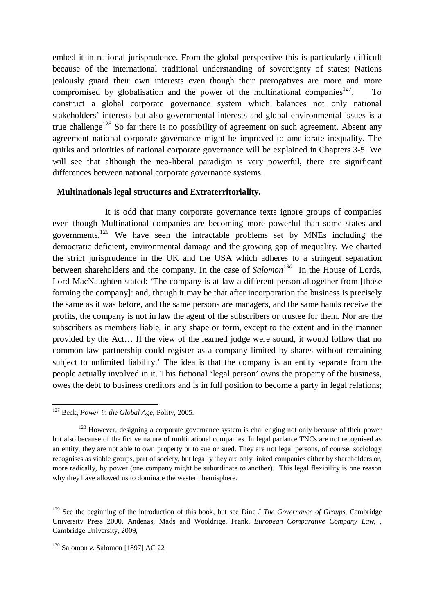embed it in national jurisprudence. From the global perspective this is particularly difficult because of the international traditional understanding of sovereignty of states; Nations jealously guard their own interests even though their prerogatives are more and more compromised by globalisation and the power of the multinational companies<sup>127</sup>. construct a global corporate governance system which balances not only national stakeholders' interests but also governmental interests and global environmental issues is a true challenge<sup>128</sup> So far there is no possibility of agreement on such agreement. Absent any agreement national corporate governance might be improved to ameliorate inequality. The quirks and priorities of national corporate governance will be explained in Chapters 3-5. We will see that although the neo-liberal paradigm is very powerful, there are significant differences between national corporate governance systems.

# **Multinationals legal structures and Extraterritoriality.**

It is odd that many corporate governance texts ignore groups of companies even though Multinational companies are becoming more powerful than some states and governments.<sup>129</sup> We have seen the intractable problems set by MNEs including the democratic deficient, environmental damage and the growing gap of inequality. We charted the strict jurisprudence in the UK and the USA which adheres to a stringent separation between shareholders and the company. In the case of *Salomon<sup>130</sup>* In the House of Lords, Lord MacNaughten stated: 'The company is at law a different person altogether from [those forming the company]: and, though it may be that after incorporation the business is precisely the same as it was before, and the same persons are managers, and the same hands receive the profits, the company is not in law the agent of the subscribers or trustee for them. Nor are the subscribers as members liable, in any shape or form, except to the extent and in the manner provided by the Act… If the view of the learned judge were sound, it would follow that no common law partnership could register as a company limited by shares without remaining subject to unlimited liability.' The idea is that the company is an entity separate from the people actually involved in it. This fictional 'legal person' owns the property of the business, owes the debt to business creditors and is in full position to become a party in legal relations;

<sup>129</sup> See the beginning of the introduction of this book, but see Dine J *The Governance of Groups,* Cambridge University Press 2000, Andenas, Mads and Wooldrige, Frank, *European Comparative Company Law,* , Cambridge University, 2009,

 $\overline{a}$ <sup>127</sup> Beck, *Power in the Global Age,* Polity, 2005.

<sup>&</sup>lt;sup>128</sup> However, designing a corporate governance system is challenging not only because of their power but also because of the fictive nature of multinational companies. In legal parlance TNCs are not recognised as an entity, they are not able to own property or to sue or sued. They are not legal persons, of course, sociology recognises as viable groups, part of society, but legally they are only linked companies either by shareholders or, more radically, by power (one company might be subordinate to another). This legal flexibility is one reason why they have allowed us to dominate the western hemisphere.

<sup>130</sup> Salomon *v.* Salomon [1897] AC 22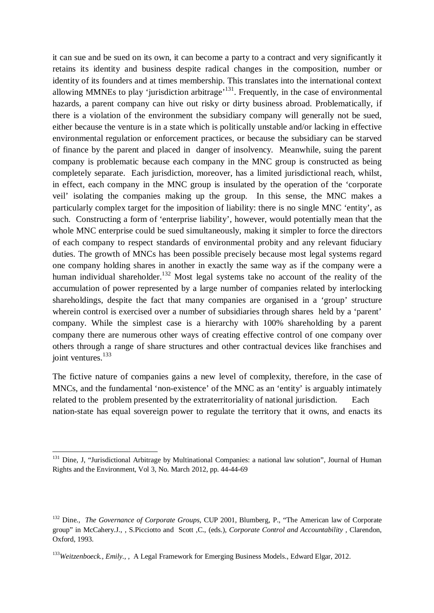it can sue and be sued on its own, it can become a party to a contract and very significantly it retains its identity and business despite radical changes in the composition, number or identity of its founders and at times membership. This translates into the international context allowing MMNEs to play 'jurisdiction arbitrage'<sup>131</sup>. Frequently, in the case of environmental hazards, a parent company can hive out risky or dirty business abroad. Problematically, if there is a violation of the environment the subsidiary company will generally not be sued, either because the venture is in a state which is politically unstable and/or lacking in effective environmental regulation or enforcement practices, or because the subsidiary can be starved of finance by the parent and placed in danger of insolvency. Meanwhile, suing the parent company is problematic because each company in the MNC group is constructed as being completely separate. Each jurisdiction, moreover, has a limited jurisdictional reach, whilst, in effect, each company in the MNC group is insulated by the operation of the 'corporate veil' isolating the companies making up the group. In this sense, the MNC makes a particularly complex target for the imposition of liability: there is no single MNC 'entity', as such. Constructing a form of 'enterprise liability', however, would potentially mean that the whole MNC enterprise could be sued simultaneously, making it simpler to force the directors of each company to respect standards of environmental probity and any relevant fiduciary duties. The growth of MNCs has been possible precisely because most legal systems regard one company holding shares in another in exactly the same way as if the company were a human individual shareholder.<sup>132</sup> Most legal systems take no account of the reality of the accumulation of power represented by a large number of companies related by interlocking shareholdings, despite the fact that many companies are organised in a 'group' structure wherein control is exercised over a number of subsidiaries through shares held by a 'parent' company. While the simplest case is a hierarchy with 100% shareholding by a parent company there are numerous other ways of creating effective control of one company over others through a range of share structures and other contractual devices like franchises and joint ventures.<sup>133</sup>

The fictive nature of companies gains a new level of complexity, therefore, in the case of MNCs, and the fundamental 'non-existence' of the MNC as an 'entity' is arguably intimately related to the problem presented by the extraterritoriality of national jurisdiction. Each nation-state has equal sovereign power to regulate the territory that it owns, and enacts its

 $\overline{\phantom{a}}$ 

<sup>&</sup>lt;sup>131</sup> Dine, J, "Jurisdictional Arbitrage by Multinational Companies: a national law solution", Journal of Human Rights and the Environment, Vol 3, No. March 2012, pp. 44-44-69

<sup>132</sup> Dine., *The Governance of Corporate Groups,* CUP 2001, Blumberg, P., "The American law of Corporate group" in McCahery.J., , S.Picciotto and Scott ,C., (eds.), *Corporate Control and Accountability ,* Clarendon, Oxford, 1993.

<sup>&</sup>lt;sup>133</sup>Weitzenboeck., Emily., , A Legal Framework for Emerging Business Models., Edward Elgar, 2012.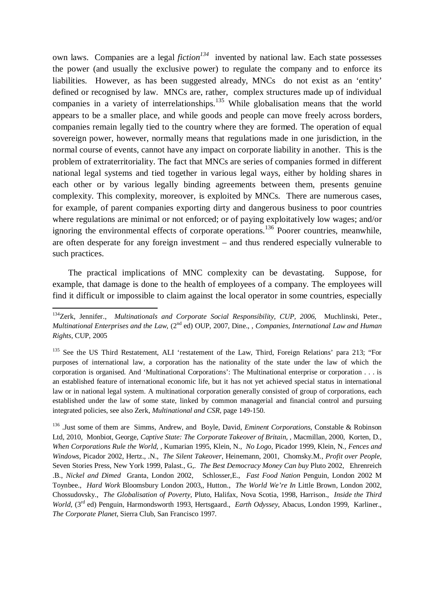own laws. Companies are a legal *fiction<sup>134</sup>* invented by national law. Each state possesses the power (and usually the exclusive power) to regulate the company and to enforce its liabilities. However, as has been suggested already, MNCs do not exist as an 'entity' defined or recognised by law. MNCs are, rather, complex structures made up of individual companies in a variety of interrelationships.<sup>135</sup> While globalisation means that the world appears to be a smaller place, and while goods and people can move freely across borders, companies remain legally tied to the country where they are formed. The operation of equal sovereign power, however, normally means that regulations made in one jurisdiction, in the normal course of events, cannot have any impact on corporate liability in another. This is the problem of extraterritoriality. The fact that MNCs are series of companies formed in different national legal systems and tied together in various legal ways, either by holding shares in each other or by various legally binding agreements between them, presents genuine complexity. This complexity, moreover, is exploited by MNCs. There are numerous cases, for example, of parent companies exporting dirty and dangerous business to poor countries where regulations are minimal or not enforced; or of paying exploitatively low wages; and/or ignoring the environmental effects of corporate operations.<sup>136</sup> Poorer countries, meanwhile, are often desperate for any foreign investment – and thus rendered especially vulnerable to such practices.

The practical implications of MNC complexity can be devastating. Suppose, for example, that damage is done to the health of employees of a company. The employees will find it difficult or impossible to claim against the local operator in some countries, especially

<sup>134</sup>Zerk, Jennifer., *Multinationals and Corporate Social Responsibility, CUP, 2006,* Muchlinski, Peter., *Multinational Enterprises and the Law,* (2nd ed) OUP, 2007, Dine., , *Companies, International Law and Human Rights,* CUP, 2005

<sup>&</sup>lt;sup>135</sup> See the US Third Restatement, ALI 'restatement of the Law, Third, Foreign Relations' para 213; "For purposes of international law, a corporation has the nationality of the state under the law of which the corporation is organised. And 'Multinational Corporations': The Multinational enterprise or corporation . . . is an established feature of international economic life, but it has not yet achieved special status in international law or in national legal system. A multinational corporation generally consisted of group of corporations, each established under the law of some state, linked by common managerial and financial control and pursuing integrated policies, see also Zerk, *Multinational and CSR,* page 149-150.

<sup>136</sup> .Just some of them are Simms, Andrew, and Boyle, David, *Eminent Corporations,* Constable & Robinson Ltd, 2010, Monbiot, George, *Captive State: The Corporate Takeover of Britain*, , Macmillan, 2000, Korten, D., *When Corporations Rule the World*, , Kumarian 1995, Klein, N., *No Logo,* Picador 1999, Klein, N., *Fences and Windows*, Picador 2002, Hertz., .N., *The Silent Takeover*, Heinemann, 2001, Chomsky.M., *Profit over People*, Seven Stories Press, New York 1999, Palast., G,. *The Best Democracy Money Can buy* Pluto 2002, Ehrenreich .B., *Nickel and Dimed* Granta, London 2002, Schlosser,E., *Fast Food Nation* Penguin, London 2002 M Toynbee., *Hard Work* Bloomsbury London 2003*,*, Hutton., *The World We're In* Little Brown, London 2002, Chossudovsky., *The Globalisation of Poverty*, Pluto, Halifax, Nova Scotia, 1998, Harrison., *Inside the Third World*, (3rd ed) Penguin, Harmondsworth 1993, Hertsgaard., *Earth Odyssey*, Abacus, London 1999, Karliner., *The Corporate Planet*, Sierra Club, San Francisco 1997.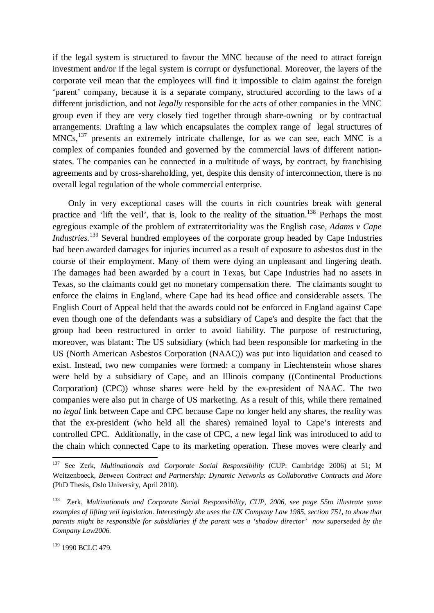if the legal system is structured to favour the MNC because of the need to attract foreign investment and/or if the legal system is corrupt or dysfunctional. Moreover, the layers of the corporate veil mean that the employees will find it impossible to claim against the foreign 'parent' company, because it is a separate company, structured according to the laws of a different jurisdiction, and not *legally* responsible for the acts of other companies in the MNC group even if they are very closely tied together through share-owning or by contractual arrangements. Drafting a law which encapsulates the complex range of legal structures of MNCs,<sup>137</sup> presents an extremely intricate challenge, for as we can see, each MNC is a complex of companies founded and governed by the commercial laws of different nationstates. The companies can be connected in a multitude of ways, by contract, by franchising agreements and by cross-shareholding, yet, despite this density of interconnection, there is no overall legal regulation of the whole commercial enterprise.

Only in very exceptional cases will the courts in rich countries break with general practice and 'lift the veil', that is, look to the reality of the situation.<sup>138</sup> Perhaps the most egregious example of the problem of extraterritoriality was the English case, *Adams v Cape Industries.* <sup>139</sup> Several hundred employees of the corporate group headed by Cape Industries had been awarded damages for injuries incurred as a result of exposure to asbestos dust in the course of their employment. Many of them were dying an unpleasant and lingering death. The damages had been awarded by a court in Texas, but Cape Industries had no assets in Texas, so the claimants could get no monetary compensation there. The claimants sought to enforce the claims in England, where Cape had its head office and considerable assets. The English Court of Appeal held that the awards could not be enforced in England against Cape even though one of the defendants was a subsidiary of Cape's and despite the fact that the group had been restructured in order to avoid liability. The purpose of restructuring, moreover, was blatant: The US subsidiary (which had been responsible for marketing in the US (North American Asbestos Corporation (NAAC)) was put into liquidation and ceased to exist. Instead, two new companies were formed: a company in Liechtenstein whose shares were held by a subsidiary of Cape, and an Illinois company ((Continental Productions Corporation) (CPC)) whose shares were held by the ex-president of NAAC. The two companies were also put in charge of US marketing. As a result of this, while there remained no *legal* link between Cape and CPC because Cape no longer held any shares, the reality was that the ex-president (who held all the shares) remained loyal to Cape's interests and controlled CPC. Additionally, in the case of CPC, a new legal link was introduced to add to the chain which connected Cape to its marketing operation. These moves were clearly and

 $\overline{\phantom{a}}$ 

<sup>137</sup> See Zerk, *Multinationals and Corporate Social Responsibility* (CUP: Cambridge 2006) at 51; M Weitzenboeck, *Between Contract and Partnership: Dynamic Networks as Collaborative Contracts and More* (PhD Thesis, Oslo University, April 2010).

<sup>138</sup> Zerk, *Multinationals and Corporate Social Responsibility, CUP, 2006, see page 55to illustrate some examples of lifting veil legislation. Interestingly she uses the UK Company Law 1985, section 751, to show that parents might be responsible for subsidiaries if the parent was a 'shadow director' now superseded by the Company Law2006.*

<sup>&</sup>lt;sup>139</sup> 1990 BCLC 479.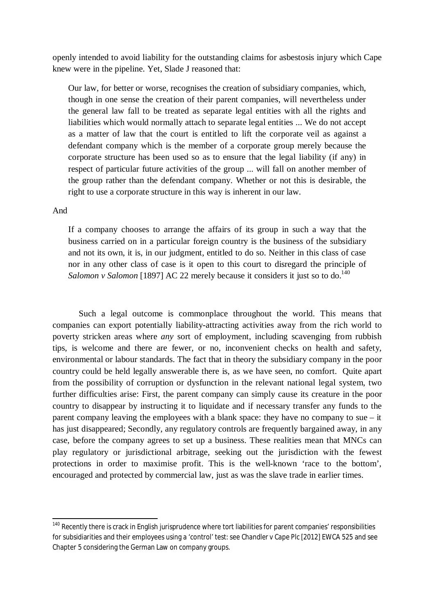openly intended to avoid liability for the outstanding claims for asbestosis injury which Cape knew were in the pipeline. Yet, Slade J reasoned that:

Our law, for better or worse, recognises the creation of subsidiary companies, which, though in one sense the creation of their parent companies, will nevertheless under the general law fall to be treated as separate legal entities with all the rights and liabilities which would normally attach to separate legal entities ... We do not accept as a matter of law that the court is entitled to lift the corporate veil as against a defendant company which is the member of a corporate group merely because the corporate structure has been used so as to ensure that the legal liability (if any) in respect of particular future activities of the group ... will fall on another member of the group rather than the defendant company. Whether or not this is desirable, the right to use a corporate structure in this way is inherent in our law.

# And

 $\overline{a}$ 

If a company chooses to arrange the affairs of its group in such a way that the business carried on in a particular foreign country is the business of the subsidiary and not its own, it is, in our judgment, entitled to do so. Neither in this class of case nor in any other class of case is it open to this court to disregard the principle of *Salomon v Salomon* [1897] AC 22 merely because it considers it just so to do.<sup>140</sup>

Such a legal outcome is commonplace throughout the world. This means that companies can export potentially liability-attracting activities away from the rich world to poverty stricken areas where *any* sort of employment, including scavenging from rubbish tips, is welcome and there are fewer, or no, inconvenient checks on health and safety, environmental or labour standards. The fact that in theory the subsidiary company in the poor country could be held legally answerable there is, as we have seen, no comfort. Quite apart from the possibility of corruption or dysfunction in the relevant national legal system, two further difficulties arise: First, the parent company can simply cause its creature in the poor country to disappear by instructing it to liquidate and if necessary transfer any funds to the parent company leaving the employees with a blank space: they have no company to sue – it has just disappeared; Secondly, any regulatory controls are frequently bargained away, in any case, before the company agrees to set up a business. These realities mean that MNCs can play regulatory or jurisdictional arbitrage, seeking out the jurisdiction with the fewest protections in order to maximise profit. This is the well-known 'race to the bottom', encouraged and protected by commercial law, just as was the slave trade in earlier times.

 $140$  Recently there is crack in English jurisprudence where tort liabilities for parent companies' responsibilities for subsidiarities and their employees using a 'control' test: see *Chandler v Cape Plc* [2012] EWCA 525 and see Chapter 5 considering the German Law on company groups.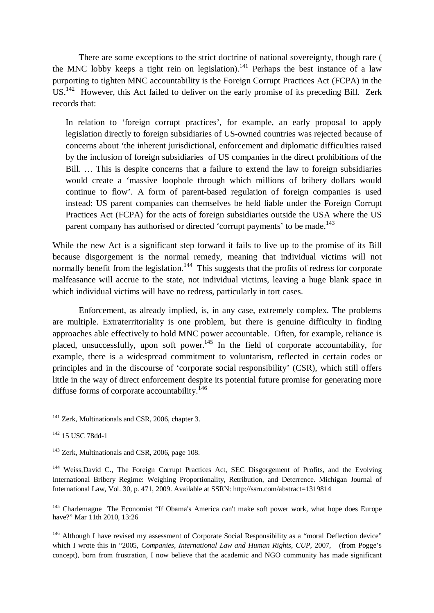There are some exceptions to the strict doctrine of national sovereignty, though rare ( the MNC lobby keeps a tight rein on legislation).<sup>141</sup> Perhaps the best instance of a law purporting to tighten MNC accountability is the Foreign Corrupt Practices Act (FCPA) in the US.<sup>142</sup> However, this Act failed to deliver on the early promise of its preceding Bill. Zerk records that:

In relation to 'foreign corrupt practices', for example, an early proposal to apply legislation directly to foreign subsidiaries of US-owned countries was rejected because of concerns about 'the inherent jurisdictional, enforcement and diplomatic difficulties raised by the inclusion of foreign subsidiaries of US companies in the direct prohibitions of the Bill. … This is despite concerns that a failure to extend the law to foreign subsidiaries would create a 'massive loophole through which millions of bribery dollars would continue to flow'. A form of parent-based regulation of foreign companies is used instead: US parent companies can themselves be held liable under the Foreign Corrupt Practices Act (FCPA) for the acts of foreign subsidiaries outside the USA where the US parent company has authorised or directed 'corrupt payments' to be made.<sup>143</sup>

While the new Act is a significant step forward it fails to live up to the promise of its Bill because disgorgement is the normal remedy, meaning that individual victims will not normally benefit from the legislation.<sup>144</sup> This suggests that the profits of redress for corporate malfeasance will accrue to the state, not individual victims, leaving a huge blank space in which individual victims will have no redress, particularly in tort cases.

Enforcement, as already implied, is, in any case, extremely complex. The problems are multiple. Extraterritoriality is one problem, but there is genuine difficulty in finding approaches able effectively to hold MNC power accountable. Often, for example, reliance is placed, unsuccessfully, upon soft power.<sup>145</sup> In the field of corporate accountability, for example, there is a widespread commitment to voluntarism, reflected in certain codes or principles and in the discourse of 'corporate social responsibility' (CSR), which still offers little in the way of direct enforcement despite its potential future promise for generating more diffuse forms of corporate accountability. $146$ 

<sup>144</sup> Weiss,David C., The Foreign Corrupt Practices Act, SEC Disgorgement of Profits, and the Evolving International Bribery Regime: Weighing Proportionality, Retribution, and Deterrence. Michigan Journal of International Law, Vol. 30, p. 471, 2009. Available at SSRN: http://ssrn.com/abstract=1319814

<sup>145</sup> Charlemagne The Economist "If Obama's America can't make soft power work, what hope does Europe have?" Mar 11th 2010, 13:26

<sup>146</sup> Although I have revised my assessment of Corporate Social Responsibility as a "moral Deflection device" which I wrote this in "2005, *Companies, International Law and Human Rights, CUP*, 2007, (from Pogge's concept), born from frustration, I now believe that the academic and NGO community has made significant

 $\overline{\phantom{a}}$ <sup>141</sup> Zerk, Multinationals and CSR, 2006, chapter 3.

<sup>&</sup>lt;sup>142</sup> 15 USC 78dd-1

<sup>&</sup>lt;sup>143</sup> Zerk, Multinationals and CSR, 2006, page 108.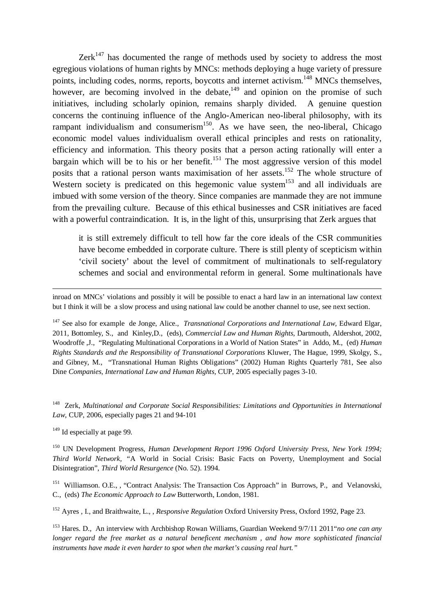Zerk $147$  has documented the range of methods used by society to address the most egregious violations of human rights by MNCs: methods deploying a huge variety of pressure points, including codes, norms, reports, boycotts and internet activism.<sup>148</sup> MNCs themselves, however, are becoming involved in the debate, $149$  and opinion on the promise of such initiatives, including scholarly opinion, remains sharply divided. A genuine question concerns the continuing influence of the Anglo-American neo-liberal philosophy, with its rampant individualism and consumerism<sup>150</sup>. As we have seen, the neo-liberal, Chicago economic model values individualism overall ethical principles and rests on rationality, efficiency and information. This theory posits that a person acting rationally will enter a bargain which will be to his or her benefit.<sup>151</sup> The most aggressive version of this model posits that a rational person wants maximisation of her assets.<sup>152</sup> The whole structure of Western society is predicated on this hegemonic value system<sup>153</sup> and all individuals are imbued with some version of the theory. Since companies are manmade they are not immune from the prevailing culture. Because of this ethical businesses and CSR initiatives are faced with a powerful contraindication. It is, in the light of this, unsurprising that Zerk argues that

it is still extremely difficult to tell how far the core ideals of the CSR communities have become embedded in corporate culture. There is still plenty of scepticism within 'civil society' about the level of commitment of multinationals to self-regulatory schemes and social and environmental reform in general. Some multinationals have

inroad on MNCs' violations and possibly it will be possible to enact a hard law in an international law context but I think it will be a slow process and using national law could be another channel to use, see next section.

<sup>147</sup> See also for example de Jonge, Alice., *Transnational Corporations and International Law*, Edward Elgar, 2011*,* Bottomley, S., and Kinley,D., (eds), *Commercial Law and Human Rights,* Dartmouth, Aldershot, 2002, Woodroffe ,J., "Regulating Multinational Corporations in a World of Nation States" in Addo, M., (ed) *Human Rights Standards and the Responsibility of Transnational Corporations* Kluwer, The Hague, 1999, Skolgy, S., and Gibney, M., "Transnational Human Rights Obligations" (2002) Human Rights Quarterly 781, See also Dine *Companies, International Law and Human Rights,* CUP, 2005 especially pages 3-10.

<sup>148</sup> Zerk, Multinational and Corporate Social Responsibilities: Limitations and Opportunities in International *Law,* CUP, 2006, especially pages 21 and 94-101

<sup>149</sup> Id especially at page 99.

 $\overline{a}$ 

<sup>150</sup> UN Development Progress, *Human Development Report 1996 Oxford University Press, New York 1994; Third World Network, "*A World in Social Crisis: Basic Facts on Poverty, Unemployment and Social Disintegration", *Third World Resurgence* (No. 52). 1994.

<sup>151</sup> Williamson. O.E., , "Contract Analysis: The Transaction Cos Approach" in Burrows, P., and Velanovski, C., (eds) *The Economic Approach to Law* Butterworth, London, 1981.

<sup>152</sup> Ayres , I., and Braithwaite, L., , *Responsive Regulation* Oxford University Press, Oxford 1992, Page 23.

<sup>153</sup> Hares. D., An interview with Archbishop Rowan Williams, Guardian Weekend 9/7/11 2011"*no one can any longer regard the free market as a natural beneficent mechanism, and how more sophisticated financial instruments have made it even harder to spot when the market's causing real hurt."*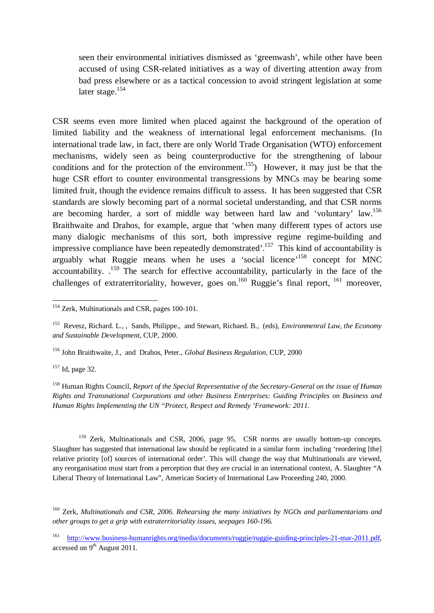seen their environmental initiatives dismissed as 'greenwash', while other have been accused of using CSR-related initiatives as a way of diverting attention away from bad press elsewhere or as a tactical concession to avoid stringent legislation at some later stage.<sup>154</sup>

CSR seems even more limited when placed against the background of the operation of limited liability and the weakness of international legal enforcement mechanisms. (In international trade law, in fact, there are only World Trade Organisation (WTO) enforcement mechanisms, widely seen as being counterproductive for the strengthening of labour conditions and for the protection of the environment.<sup>155</sup>) However, it may just be that the huge CSR effort to counter environmental transgressions by MNCs may be bearing some limited fruit, though the evidence remains difficult to assess. It has been suggested that CSR standards are slowly becoming part of a normal societal understanding, and that CSR norms are becoming harder, a sort of middle way between hard law and 'voluntary' law.<sup>156</sup> Braithwaite and Drahos, for example, argue that 'when many different types of actors use many dialogic mechanisms of this sort, both impressive regime regime-building and impressive compliance have been repeatedly demonstrated'.<sup>157</sup> This kind of accountability is arguably what Ruggie means when he uses a 'social licence'<sup>158</sup> concept for MNC accountability.  $^{159}$  The search for effective accountability, particularly in the face of the challenges of extraterritoriality, however, goes on.<sup>160</sup> Ruggie's final report, <sup>161</sup> moreover,

<sup>156</sup> John Braithwaite, J., and Drahos, Peter., *Global Business Regulation,* CUP, 2000

<sup>157</sup> Id, page 32.

 $\overline{\phantom{a}}$ 

<sup>158</sup> Human Rights Council, *Report of the Special Representative of the Secretary-General on the issue of Human Rights and Transnational Corporations and other Business Enterprises: Guiding Principles on Business and Human Rights Implementing the UN "Protect, Respect and Remedy 'Framework: 2011.*

<sup>159</sup> Zerk, Multinationals and CSR, 2006, page 95, CSR norms are usually bottom-up concepts. Slaughter has suggested that international law should be replicated in a similar form including 'reordering [the] relative priority [of] sources of international order'. This will change the way that Multinationals are viewed, any reorganisation must start from a perception that they are crucial in an international context, A. Slaughter "A Liberal Theory of International Law", American Society of International Law Proceeding 240, 2000.

<sup>160</sup> Zerk, *Multinationals and CSR, 2006. Rehearsing the many initiatives by NGOs and parliamentarians and other groups to get a grip with extraterritoriality issues, seepages 160-196.* 

<sup>161</sup> http://www.business-humanrights.org/media/documents/ruggie/ruggie-guiding-principles-21-mar-2011.pdf, accessed on  $9<sup>th</sup>$  August 2011.

<sup>&</sup>lt;sup>154</sup> Zerk, Multinationals and CSR, pages 100-101.

<sup>155</sup> Revesz, Richard. L., , Sands, Philippe., and Stewart, Richaed. B., (eds), *Environmenral Law, the Economy and Sustainable Development,* CUP, 2000.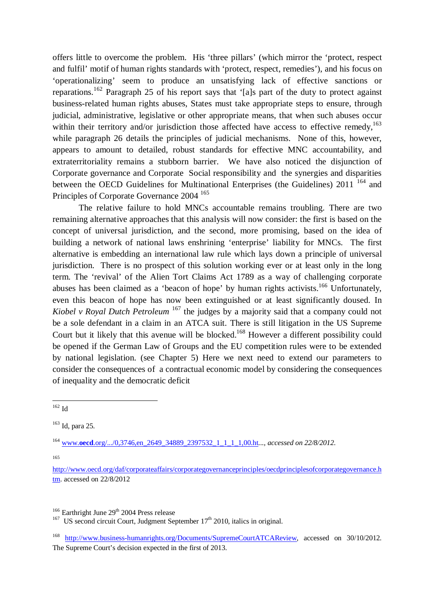offers little to overcome the problem. His 'three pillars' (which mirror the 'protect, respect and fulfil' motif of human rights standards with 'protect, respect, remedies'), and his focus on 'operationalizing' seem to produce an unsatisfying lack of effective sanctions or reparations.<sup>162</sup> Paragraph 25 of his report says that '[a]s part of the duty to protect against business-related human rights abuses, States must take appropriate steps to ensure, through judicial, administrative, legislative or other appropriate means, that when such abuses occur within their territory and/or jurisdiction those affected have access to effective remedy,<sup>163</sup> while paragraph 26 details the principles of judicial mechanisms. None of this, however, appears to amount to detailed, robust standards for effective MNC accountability, and extraterritoriality remains a stubborn barrier. We have also noticed the disjunction of Corporate governance and Corporate Social responsibility and the synergies and disparities between the OECD Guidelines for Multinational Enterprises (the Guidelines) 2011<sup>164</sup> and Principles of Corporate Governance 2004 <sup>165</sup>

The relative failure to hold MNCs accountable remains troubling. There are two remaining alternative approaches that this analysis will now consider: the first is based on the concept of universal jurisdiction, and the second, more promising, based on the idea of building a network of national laws enshrining 'enterprise' liability for MNCs. The first alternative is embedding an international law rule which lays down a principle of universal jurisdiction. There is no prospect of this solution working ever or at least only in the long term. The 'revival' of the Alien Tort Claims Act 1789 as a way of challenging corporate abuses has been claimed as a 'beacon of hope' by human rights activists.<sup>166</sup> Unfortunately, even this beacon of hope has now been extinguished or at least significantly doused. In *Kiobel v Royal Dutch Petroleum*<sup>167</sup> the judges by a majority said that a company could not be a sole defendant in a claim in an ATCA suit. There is still litigation in the US Supreme Court but it likely that this avenue will be blocked.<sup>168</sup> However a different possibility could be opened if the German Law of Groups and the EU competition rules were to be extended by national legislation. (see Chapter 5) Here we next need to extend our parameters to consider the consequences of a contractual economic model by considering the consequences of inequality and the democratic deficit

165

 $166$  Earthright June  $29<sup>th</sup>$  2004 Press release

 $167$  US second circuit Court, Judgment September  $17<sup>th</sup>$  2010, italics in original.

<sup>168</sup> http://www.business-humanrights.org/Documents/SupremeCourtATCAReview, accessed on 30/10/2012. The Supreme Court's decision expected in the first of 2013.

 $\overline{a}$  $162$  Id

<sup>163</sup> Id, para 25.

<sup>164</sup> www.**oecd**.org/.../0,3746,en\_2649\_34889\_2397532\_1\_1\_1\_1,00.ht*..., accessed on 22/8/2012.*

http://www.oecd.org/daf/corporateaffairs/corporategovernanceprinciples/oecdprinciplesofcorporategovernance.h tm. accessed on 22/8/2012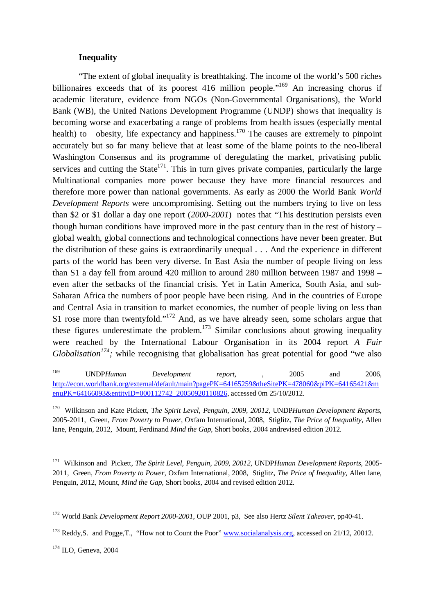#### **Inequality**

"The extent of global inequality is breathtaking. The income of the world's 500 riches billionaires exceeds that of its poorest 416 million people."<sup>169</sup> An increasing chorus if academic literature, evidence from NGOs (Non-Governmental Organisations), the World Bank (WB), the United Nations Development Programme (UNDP) shows that inequality is becoming worse and exacerbating a range of problems from health issues (especially mental health) to obesity, life expectancy and happiness.<sup>170</sup> The causes are extremely to pinpoint accurately but so far many believe that at least some of the blame points to the neo-liberal Washington Consensus and its programme of deregulating the market, privatising public services and cutting the State<sup>171</sup>. This in turn gives private companies, particularly the large Multinational companies more power because they have more financial resources and therefore more power than national governments. As early as 2000 the World Bank *World Development Reports* were uncompromising. Setting out the numbers trying to live on less than \$2 or \$1 dollar a day one report (*2000-2001*) notes that "This destitution persists even though human conditions have improved more in the past century than in the rest of history – global wealth, global connections and technological connections have never been greater. But the distribution of these gains is extraordinarily unequal . . . And the experience in different parts of the world has been very diverse. In East Asia the number of people living on less than S1 a day fell from around 420 million to around 280 million between 1987 and 1998 **–** even after the setbacks of the financial crisis. Yet in Latin America, South Asia, and sub-Saharan Africa the numbers of poor people have been rising. And in the countries of Europe and Central Asia in transition to market economies, the number of people living on less than S1 rose more than twentyfold."<sup>172</sup> And, as we have already seen, some scholars argue that these figures underestimate the problem.<sup>173</sup> Similar conclusions about growing inequality were reached by the International Labour Organisation in its 2004 report *A Fair Globalisation<sup>174</sup>*; while recognising that globalisation has great potential for good "we also

171 Wilkinson and Pickett, *The Spirit Level, Penguin, 2009, 20012,* UNDP*Human Development Reports,* 2005- 2011, Green, *From Poverty to Power,* Oxfam International, 2008, Stiglitz, *The Price of Inequality,* Allen lane, Penguin, 2012, Mount, *Mind the Gap,* Short books, 2004 and revised edition 2012.

<sup>169</sup> <sup>169</sup> UNDP*Human Development report, ,* 2005 and 2006, http://econ.worldbank.org/external/default/main?pagePK=64165259&theSitePK=478060&piPK=64165421&m enuPK=64166093&entityID=000112742\_20050920110826, accessed 0m 25/10/2012.

<sup>170</sup> Wilkinson and Kate Pickett, *The Spirit Level, Penguin, 2009, 20012,* UNDP*Human Development Reports,*  2005-2011, Green, *From Poverty to Power,* Oxfam International, 2008, Stiglitz, *The Price of Inequality,* Allen lane, Penguin, 2012, Mount, Ferdinand *Mind the Gap,* Short books, 2004 andrevised edition 2012.

<sup>172</sup> World Bank *Development Report 2000-2001*, OUP 2001, p3, See also Hertz *Silent Takeover*, pp40-41.

<sup>&</sup>lt;sup>173</sup> Reddy, S. and Pogge, T., "How not to Count the Poor" www.socialanalysis.org, accessed on 21/12, 20012.

<sup>&</sup>lt;sup>174</sup> ILO, Geneva, 2004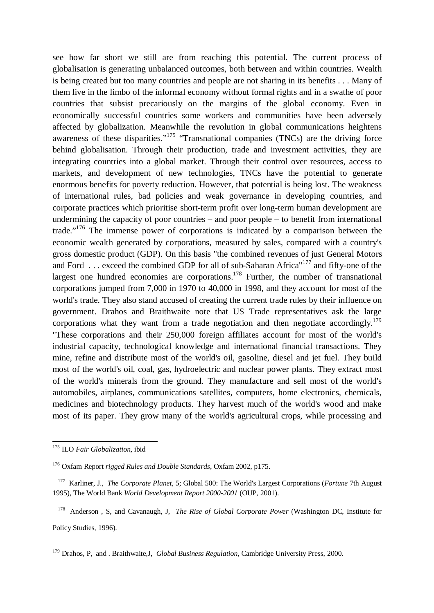see how far short we still are from reaching this potential. The current process of globalisation is generating unbalanced outcomes, both between and within countries. Wealth is being created but too many countries and people are not sharing in its benefits . . . Many of them live in the limbo of the informal economy without formal rights and in a swathe of poor countries that subsist precariously on the margins of the global economy. Even in economically successful countries some workers and communities have been adversely affected by globalization. Meanwhile the revolution in global communications heightens awareness of these disparities."<sup>175</sup> "Transnational companies (TNCs) are the driving force behind globalisation. Through their production, trade and investment activities, they are integrating countries into a global market. Through their control over resources, access to markets, and development of new technologies, TNCs have the potential to generate enormous benefits for poverty reduction. However, that potential is being lost. The weakness of international rules, bad policies and weak governance in developing countries, and corporate practices which prioritise short-term profit over long-term human development are undermining the capacity of poor countries – and poor people – to benefit from international trade."<sup>176</sup> The immense power of corporations is indicated by a comparison between the economic wealth generated by corporations, measured by sales, compared with a country's gross domestic product (GDP). On this basis "the combined revenues of just General Motors and Ford . . . exceed the combined GDP for all of sub-Saharan Africa"<sup>177</sup> and fifty-one of the largest one hundred economies are corporations.<sup>178</sup> Further, the number of transnational corporations jumped from 7,000 in 1970 to 40,000 in 1998, and they account for most of the world's trade. They also stand accused of creating the current trade rules by their influence on government. Drahos and Braithwaite note that US Trade representatives ask the large corporations what they want from a trade negotiation and then negotiate accordingly.<sup>179</sup> "These corporations and their 250,000 foreign affiliates account for most of the world's industrial capacity, technological knowledge and international financial transactions. They mine, refine and distribute most of the world's oil, gasoline, diesel and jet fuel. They build most of the world's oil, coal, gas, hydroelectric and nuclear power plants. They extract most of the world's minerals from the ground. They manufacture and sell most of the world's automobiles, airplanes, communications satellites, computers, home electronics, chemicals, medicines and biotechnology products. They harvest much of the world's wood and make most of its paper. They grow many of the world's agricultural crops, while processing and

 $\overline{a}$ <sup>175</sup> ILO *Fair Globalization,* ibid

<sup>176</sup> Oxfam Report *rigged Rules and Double Standards*, Oxfam 2002, p175.

<sup>177</sup> Karliner, J., *The Corporate Planet*, 5; Global 500: The World's Largest Corporations (*Fortune* 7th August 1995), The World Bank *World Development Report 2000-2001* (OUP, 2001).

<sup>178</sup> Anderson , S, and Cavanaugh, J, *The Rise of Global Corporate Power* (Washington DC, Institute for Policy Studies, 1996).

<sup>179</sup> Drahos, P, and . Braithwaite,J, *Global Business Regulation*, Cambridge University Press, 2000.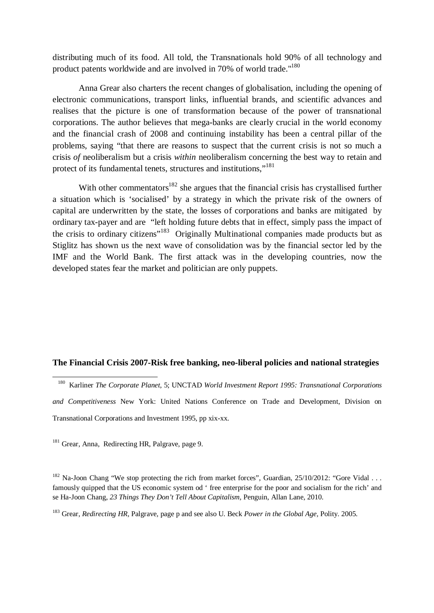distributing much of its food. All told, the Transnationals hold 90% of all technology and product patents worldwide and are involved in 70% of world trade."<sup>180</sup>

Anna Grear also charters the recent changes of globalisation, including the opening of electronic communications, transport links, influential brands, and scientific advances and realises that the picture is one of transformation because of the power of transnational corporations. The author believes that mega-banks are clearly crucial in the world economy and the financial crash of 2008 and continuing instability has been a central pillar of the problems, saying "that there are reasons to suspect that the current crisis is not so much a crisis *of* neoliberalism but a crisis *within* neoliberalism concerning the best way to retain and protect of its fundamental tenets, structures and institutions,"<sup>181</sup>

With other commentators<sup>182</sup> she argues that the financial crisis has crystallised further a situation which is 'socialised' by a strategy in which the private risk of the owners of capital are underwritten by the state, the losses of corporations and banks are mitigated by ordinary tax-payer and are "left holding future debts that in effect, simply pass the impact of the crisis to ordinary citizens"<sup>183</sup> Originally Multinational companies made products but as Stiglitz has shown us the next wave of consolidation was by the financial sector led by the IMF and the World Bank. The first attack was in the developing countries, now the developed states fear the market and politician are only puppets.

# **The Financial Crisis 2007-Risk free banking, neo-liberal policies and national strategies**

180 Karliner *The Corporate Planet*, 5; UNCTAD *World Investment Report 1995: Transnational Corporations and Competitiveness* New York: United Nations Conference on Trade and Development, Division on Transnational Corporations and Investment 1995, pp xix-xx.

<sup>181</sup> Grear, Anna, Redirecting HR, Palgrave, page 9.

 $\overline{\phantom{a}}$ 

<sup>&</sup>lt;sup>182</sup> Na-Joon Chang "We stop protecting the rich from market forces", Guardian, 25/10/2012: "Gore Vidal . . . famously quipped that the US economic system od ' free enterprise for the poor and socialism for the rich' and se Ha-Joon Chang, *23 Things They Don't Tell About Capitalism,* Penguin, Allan Lane, 2010.

<sup>183</sup> Grear, *Redirecting HR*, Palgrave, page p and see also U. Beck *Power in the Global Age,* Polity. 2005.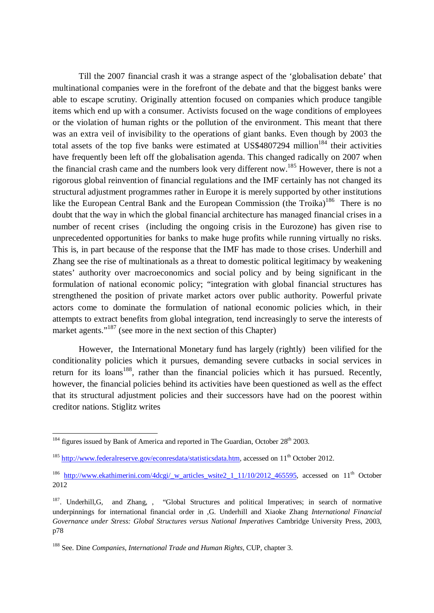Till the 2007 financial crash it was a strange aspect of the 'globalisation debate' that multinational companies were in the forefront of the debate and that the biggest banks were able to escape scrutiny. Originally attention focused on companies which produce tangible items which end up with a consumer. Activists focused on the wage conditions of employees or the violation of human rights or the pollution of the environment. This meant that there was an extra veil of invisibility to the operations of giant banks. Even though by 2003 the total assets of the top five banks were estimated at US\$4807294 million<sup>184</sup> their activities have frequently been left off the globalisation agenda. This changed radically on 2007 when the financial crash came and the numbers look very different now.<sup>185</sup> However, there is not a rigorous global reinvention of financial regulations and the IMF certainly has not changed its structural adjustment programmes rather in Europe it is merely supported by other institutions like the European Central Bank and the European Commission (the Troika)<sup>186</sup> There is no doubt that the way in which the global financial architecture has managed financial crises in a number of recent crises (including the ongoing crisis in the Eurozone) has given rise to unprecedented opportunities for banks to make huge profits while running virtually no risks. This is, in part because of the response that the IMF has made to those crises. Underhill and Zhang see the rise of multinationals as a threat to domestic political legitimacy by weakening states' authority over macroeconomics and social policy and by being significant in the formulation of national economic policy; "integration with global financial structures has strengthened the position of private market actors over public authority. Powerful private actors come to dominate the formulation of national economic policies which, in their attempts to extract benefits from global integration, tend increasingly to serve the interests of market agents."<sup>187</sup> (see more in the next section of this Chapter)

However, the International Monetary fund has largely (rightly) been vilified for the conditionality policies which it pursues, demanding severe cutbacks in social services in return for its loans<sup>188</sup>, rather than the financial policies which it has pursued. Recently, however, the financial policies behind its activities have been questioned as well as the effect that its structural adjustment policies and their successors have had on the poorest within creditor nations. Stiglitz writes

 $\overline{a}$  $184$  figures issued by Bank of America and reported in The Guardian, October  $28<sup>th</sup>$  2003.

<sup>&</sup>lt;sup>185</sup> http://www.federalreserve.gov/econresdata/statisticsdata.htm, accessed on 11<sup>th</sup> October 2012.

<sup>&</sup>lt;sup>186</sup> http://www.ekathimerini.com/4dcgi/ w articles wsite2 1 11/10/2012 465595, accessed on 11<sup>th</sup> October 2012

<sup>&</sup>lt;sup>187</sup>. Underhill, G, and Zhang, , "Global Structures and political Imperatives; in search of normative underpinnings for international financial order in ,G. Underhill and Xiaoke Zhang *International Financial Governance under Stress: Global Structures versus National Imperatives* Cambridge University Press, 2003, p78

<sup>188</sup> See. Dine *Companies, International Trade and Human Rights,* CUP, chapter 3.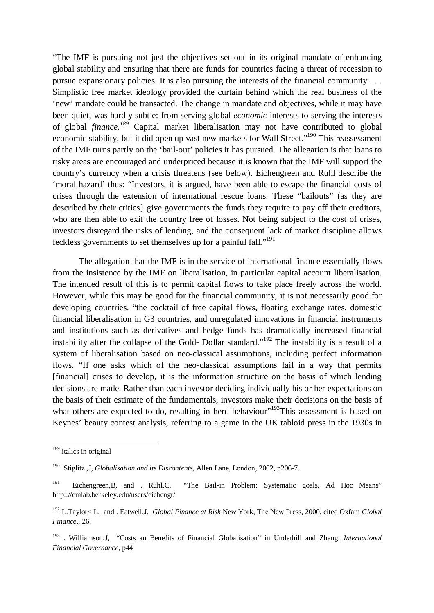"The IMF is pursuing not just the objectives set out in its original mandate of enhancing global stability and ensuring that there are funds for countries facing a threat of recession to pursue expansionary policies. It is also pursuing the interests of the financial community . . . Simplistic free market ideology provided the curtain behind which the real business of the 'new' mandate could be transacted. The change in mandate and objectives, while it may have been quiet, was hardly subtle: from serving global *economic* interests to serving the interests of global *finance.<sup>189</sup>* Capital market liberalisation may not have contributed to global economic stability, but it did open up vast new markets for Wall Street."<sup>190</sup> This reassessment of the IMF turns partly on the 'bail-out' policies it has pursued. The allegation is that loans to risky areas are encouraged and underpriced because it is known that the IMF will support the country's currency when a crisis threatens (see below). Eichengreen and Ruhl describe the 'moral hazard' thus; "Investors, it is argued, have been able to escape the financial costs of crises through the extension of international rescue loans. These "bailouts" (as they are described by their critics} give governments the funds they require to pay off their creditors, who are then able to exit the country free of losses. Not being subject to the cost of crises, investors disregard the risks of lending, and the consequent lack of market discipline allows feckless governments to set themselves up for a painful fall."<sup>191</sup>

The allegation that the IMF is in the service of international finance essentially flows from the insistence by the IMF on liberalisation, in particular capital account liberalisation. The intended result of this is to permit capital flows to take place freely across the world. However, while this may be good for the financial community, it is not necessarily good for developing countries. "the cocktail of free capital flows, floating exchange rates, domestic financial liberalisation in G3 countries, and unregulated innovations in financial instruments and institutions such as derivatives and hedge funds has dramatically increased financial instability after the collapse of the Gold- Dollar standard."<sup>192</sup> The instability is a result of a system of liberalisation based on neo-classical assumptions, including perfect information flows. "If one asks which of the neo-classical assumptions fail in a way that permits [financial] crises to develop, it is the information structure on the basis of which lending decisions are made. Rather than each investor deciding individually his or her expectations on the basis of their estimate of the fundamentals, investors make their decisions on the basis of what others are expected to do, resulting in herd behaviour<sup>"193</sup>This assessment is based on Keynes' beauty contest analysis, referring to a game in the UK tabloid press in the 1930s in

<sup>&</sup>lt;sup>189</sup> italics in original

<sup>190</sup> Stiglitz ,J, *Globalisation and its Discontents*, Allen Lane, London, 2002, p206-7.

<sup>191</sup> Eichengreen,B, and . Ruhl,C, "The Bail-in Problem: Systematic goals, Ad Hoc Means" http:://emlab.berkeley.edu/users/eichengr/

<sup>192</sup> L.Taylor< L, and . Eatwell,J. *Global Finance at Risk* New York, The New Press, 2000, cited Oxfam *Global Finance,*, 26.

<sup>193</sup> . Williamson,J, "Costs an Benefits of Financial Globalisation" in Underhill and Zhang, *International Financial Governance,* p44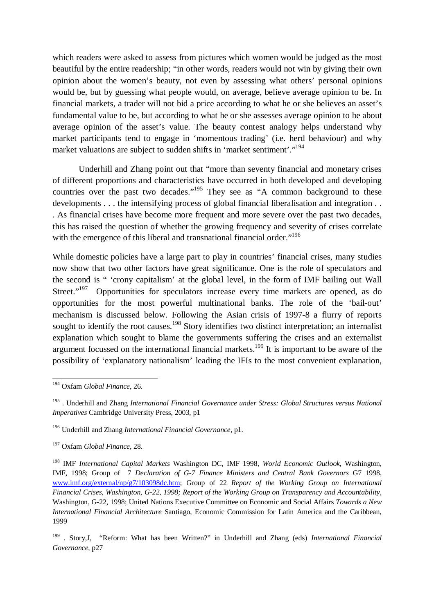which readers were asked to assess from pictures which women would be judged as the most beautiful by the entire readership; "in other words, readers would not win by giving their own opinion about the women's beauty, not even by assessing what others' personal opinions would be, but by guessing what people would, on average, believe average opinion to be. In financial markets, a trader will not bid a price according to what he or she believes an asset's fundamental value to be, but according to what he or she assesses average opinion to be about average opinion of the asset's value. The beauty contest analogy helps understand why market participants tend to engage in 'momentous trading' (i.e. herd behaviour) and why market valuations are subject to sudden shifts in 'market sentiment'."<sup>194</sup>

Underhill and Zhang point out that "more than seventy financial and monetary crises of different proportions and characteristics have occurred in both developed and developing countries over the past two decades."<sup>195</sup> They see as "A common background to these developments . . . the intensifying process of global financial liberalisation and integration . . . As financial crises have become more frequent and more severe over the past two decades, this has raised the question of whether the growing frequency and severity of crises correlate with the emergence of this liberal and transnational financial order."<sup>196</sup>

While domestic policies have a large part to play in countries' financial crises, many studies now show that two other factors have great significance. One is the role of speculators and the second is " 'crony capitalism' at the global level, in the form of IMF bailing out Wall Street."<sup>197</sup> Opportunities for speculators increase every time markets are opened, as do opportunities for the most powerful multinational banks. The role of the 'bail-out' mechanism is discussed below. Following the Asian crisis of 1997-8 a flurry of reports sought to identify the root causes.<sup>198</sup> Story identifies two distinct interpretation; an internalist explanation which sought to blame the governments suffering the crises and an externalist argument focussed on the international financial markets.<sup>199</sup> It is important to be aware of the possibility of 'explanatory nationalism' leading the IFIs to the most convenient explanation,

<sup>194</sup> Oxfam *Global Finance*, 26.

<sup>195</sup> . Underhill and Zhang *International Financial Governance under Stress: Global Structures versus National Imperatives* Cambridge University Press, 2003, p1

<sup>196</sup> Underhill and Zhang *International Financial Governance*, p1.

<sup>197</sup> Oxfam *Global Finance*, 28.

<sup>198</sup> IMF *International Capital Markets* Washington DC, IMF 1998, *World Economic Outlook*, Washington, IMF, 1998; Group of 7 *Declaration of G-7 Finance Ministers and Central Bank Governors* G7 1998, www.imf.org/external/np/g7/103098dc.htm; Group of 22 *Report of the Working Group on International Financial Crises, Washington, G-22, 1998; Report of the Working Group on Transparency and Accountability*, Washington, G-22, 1998; United Nations Executive Committee on Economic and Social Affairs *Towards a New International Financial Architecture* Santiago, Economic Commission for Latin America and the Caribbean, 1999

<sup>199</sup> . Story,J, "Reform: What has been Written?" in Underhill and Zhang (eds) *International Financial Governance*, p27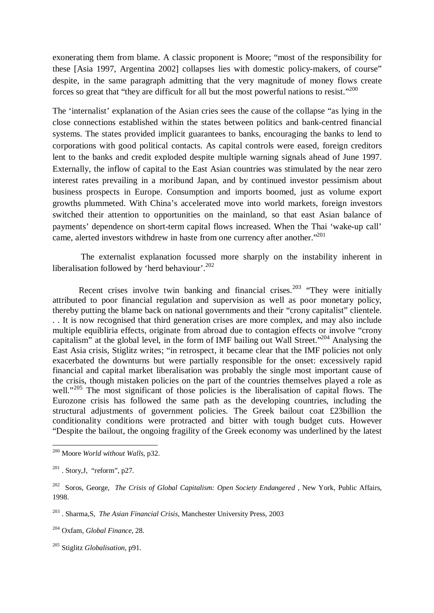exonerating them from blame. A classic proponent is Moore; "most of the responsibility for these [Asia 1997, Argentina 2002] collapses lies with domestic policy-makers, of course" despite, in the same paragraph admitting that the very magnitude of money flows create forces so great that "they are difficult for all but the most powerful nations to resist."<sup>200</sup>

The 'internalist' explanation of the Asian cries sees the cause of the collapse "as lying in the close connections established within the states between politics and bank-centred financial systems. The states provided implicit guarantees to banks, encouraging the banks to lend to corporations with good political contacts. As capital controls were eased, foreign creditors lent to the banks and credit exploded despite multiple warning signals ahead of June 1997. Externally, the inflow of capital to the East Asian countries was stimulated by the near zero interest rates prevailing in a moribund Japan, and by continued investor pessimism about business prospects in Europe. Consumption and imports boomed, just as volume export growths plummeted. With China's accelerated move into world markets, foreign investors switched their attention to opportunities on the mainland, so that east Asian balance of payments' dependence on short-term capital flows increased. When the Thai 'wake-up call' came, alerted investors withdrew in haste from one currency after another."<sup>201</sup>

The externalist explanation focussed more sharply on the instability inherent in liberalisation followed by 'herd behaviour'.<sup>202</sup>

Recent crises involve twin banking and financial crises.<sup>203</sup> "They were initially attributed to poor financial regulation and supervision as well as poor monetary policy, thereby putting the blame back on national governments and their "crony capitalist" clientele. . . It is now recognised that third generation crises are more complex, and may also include multiple equibliria effects, originate from abroad due to contagion effects or involve "crony capitalism" at the global level, in the form of IMF bailing out Wall Street."<sup>204</sup> Analysing the East Asia crisis, Stiglitz writes; "in retrospect, it became clear that the IMF policies not only exacerbated the downturns but were partially responsible for the onset: excessively rapid financial and capital market liberalisation was probably the single most important cause of the crisis, though mistaken policies on the part of the countries themselves played a role as well."<sup>205</sup> The most significant of those policies is the liberalisation of capital flows. The Eurozone crisis has followed the same path as the developing countries, including the structural adjustments of government policies. The Greek bailout coat £23billion the conditionality conditions were protracted and bitter with tough budget cuts. However "Despite the bailout, the ongoing fragility of the Greek economy was underlined by the latest

<sup>205</sup> Stiglitz *Globalisation*, p91.

 $\overline{\phantom{a}}$ <sup>200</sup> Moore *World without Walls,* p32.

 $201$ . Story, J, "reform", p27.

<sup>202</sup> Soros, George, *The Crisis of Global Capitalism: Open Society Endangered* , New York, Public Affairs, 1998.

<sup>203</sup> . Sharma,S, *The Asian Financial Crisis*, Manchester University Press, 2003

<sup>204</sup> Oxfam, *Global Finance*, 28.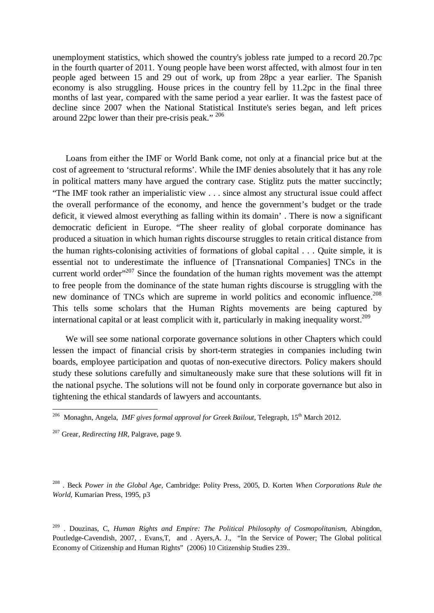unemployment statistics, which showed the country's jobless rate jumped to a record 20.7pc in the fourth quarter of 2011. Young people have been worst affected, with almost four in ten people aged between 15 and 29 out of work, up from 28pc a year earlier. The Spanish economy is also struggling. House prices in the country fell by 11.2pc in the final three months of last year, compared with the same period a year earlier. It was the fastest pace of decline since 2007 when the National Statistical Institute's series began, and left prices around 22pc lower than their pre-crisis peak." <sup>206</sup>

Loans from either the IMF or World Bank come, not only at a financial price but at the cost of agreement to 'structural reforms'. While the IMF denies absolutely that it has any role in political matters many have argued the contrary case. Stiglitz puts the matter succinctly; "The IMF took rather an imperialistic view . . . since almost any structural issue could affect the overall performance of the economy, and hence the government's budget or the trade deficit, it viewed almost everything as falling within its domain' . There is now a significant democratic deficient in Europe. "The sheer reality of global corporate dominance has produced a situation in which human rights discourse struggles to retain critical distance from the human rights-colonising activities of formations of global capital . . . Quite simple, it is essential not to underestimate the influence of [Transnational Companies] TNCs in the current world order<sup> $207$ </sup> Since the foundation of the human rights movement was the attempt to free people from the dominance of the state human rights discourse is struggling with the new dominance of TNCs which are supreme in world politics and economic influence.<sup>208</sup> This tells some scholars that the Human Rights movements are being captured by international capital or at least complicit with it, particularly in making inequality worst.<sup>209</sup>

We will see some national corporate governance solutions in other Chapters which could lessen the impact of financial crisis by short-term strategies in companies including twin boards, employee participation and quotas of non-executive directors. Policy makers should study these solutions carefully and simultaneously make sure that these solutions will fit in the national psyche. The solutions will not be found only in corporate governance but also in tightening the ethical standards of lawyers and accountants.

<sup>208</sup> . Beck *Power in the Global Age,* Cambridge: Polity Press, 2005, D. Korten *When Corporations Rule the World*, Kumarian Press, 1995, p3

<sup>209</sup> . Douzinas, C, *Human Rights and Empire: The Political Philosophy of Cosmopolitanism,* Abingdon, Poutledge-Cavendish, 2007, . Evans,T, and . Ayers,A. J., "In the Service of Power; The Global political Economy of Citizenship and Human Rights" (2006) 10 Citizenship Studies 239.*.* 

<sup>&</sup>lt;sup>206</sup> Monaghn, Angela, *IMF gives formal approval for Greek Bailout*, Telegraph, 15<sup>th</sup> March 2012.

<sup>207</sup> Grear, *Redirecting HR*, Palgrave, page 9.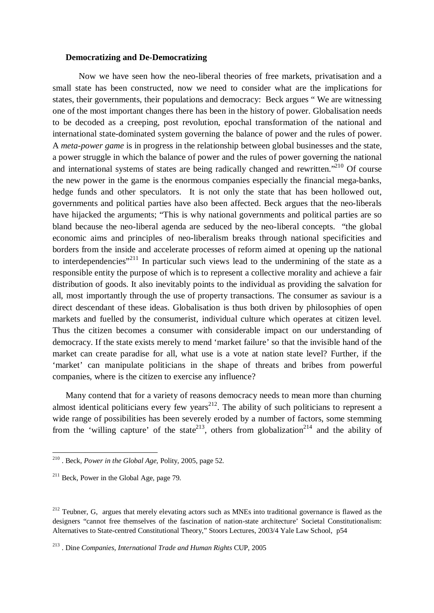#### **Democratizing and De-Democratizing**

Now we have seen how the neo-liberal theories of free markets, privatisation and a small state has been constructed, now we need to consider what are the implications for states, their governments, their populations and democracy: Beck argues " We are witnessing one of the most important changes there has been in the history of power. Globalisation needs to be decoded as a creeping, post revolution, epochal transformation of the national and international state-dominated system governing the balance of power and the rules of power. A *meta-power game* is in progress in the relationship between global businesses and the state, a power struggle in which the balance of power and the rules of power governing the national and international systems of states are being radically changed and rewritten."<sup>210</sup> Of course the new power in the game is the enormous companies especially the financial mega-banks, hedge funds and other speculators. It is not only the state that has been hollowed out, governments and political parties have also been affected. Beck argues that the neo-liberals have hijacked the arguments; "This is why national governments and political parties are so bland because the neo-liberal agenda are seduced by the neo-liberal concepts. "the global economic aims and principles of neo-liberalism breaks through national specificities and borders from the inside and accelerate processes of reform aimed at opening up the national to interdependencies"<sup>211</sup> In particular such views lead to the undermining of the state as a responsible entity the purpose of which is to represent a collective morality and achieve a fair distribution of goods. It also inevitably points to the individual as providing the salvation for all, most importantly through the use of property transactions. The consumer as saviour is a direct descendant of these ideas. Globalisation is thus both driven by philosophies of open markets and fuelled by the consumerist, individual culture which operates at citizen level. Thus the citizen becomes a consumer with considerable impact on our understanding of democracy. If the state exists merely to mend 'market failure' so that the invisible hand of the market can create paradise for all, what use is a vote at nation state level? Further, if the 'market' can manipulate politicians in the shape of threats and bribes from powerful companies, where is the citizen to exercise any influence?

Many contend that for a variety of reasons democracy needs to mean more than churning almost identical politicians every few years<sup>212</sup>. The ability of such politicians to represent a wide range of possibilities has been severely eroded by a number of factors, some stemming from the 'willing capture' of the state<sup>213</sup>, others from globalization<sup>214</sup> and the ability of

 $\overline{\phantom{a}}$ 

<sup>210</sup> . Beck, *Power in the Global Age,* Polity, 2005, page 52.

 $2^{11}$  Beck, Power in the Global Age, page 79.

 $212$  Teubner, G, argues that merely elevating actors such as MNEs into traditional governance is flawed as the designers "cannot free themselves of the fascination of nation-state architecture' Societal Constitutionalism: Alternatives to State-centred Constitutional Theory," Stoors Lectures, 2003/4 Yale Law School, p54

<sup>213</sup> . Dine *Companies, International Trade and Human Rights* CUP, 2005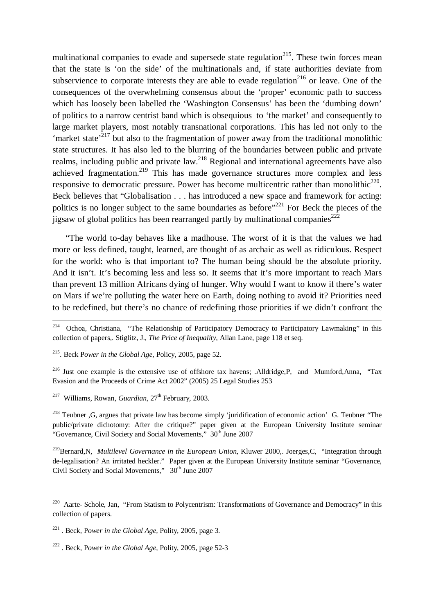multinational companies to evade and supersede state regulation<sup>215</sup>. These twin forces mean that the state is 'on the side' of the multinationals and, if state authorities deviate from subservience to corporate interests they are able to evade regulation<sup>216</sup> or leave. One of the consequences of the overwhelming consensus about the 'proper' economic path to success which has loosely been labelled the 'Washington Consensus' has been the 'dumbing down' of politics to a narrow centrist band which is obsequious to 'the market' and consequently to large market players, most notably transnational corporations. This has led not only to the 'market state'<sup>217</sup> but also to the fragmentation of power away from the traditional monolithic state structures. It has also led to the blurring of the boundaries between public and private realms, including public and private law.<sup>218</sup> Regional and international agreements have also achieved fragmentation.<sup>219</sup> This has made governance structures more complex and less responsive to democratic pressure. Power has become multicentric rather than monolithic<sup>220</sup>. Beck believes that "Globalisation . . . has introduced a new space and framework for acting: politics is no longer subject to the same boundaries as before<sup> $221$ </sup> For Beck the pieces of the ijgsaw of global politics has been rearranged partly by multinational companies<sup>222</sup>

"The world to-day behaves like a madhouse. The worst of it is that the values we had more or less defined, taught, learned, are thought of as archaic as well as ridiculous. Respect for the world: who is that important to? The human being should be the absolute priority. And it isn't. It's becoming less and less so. It seems that it's more important to reach Mars than prevent 13 million Africans dying of hunger. Why would I want to know if there's water on Mars if we're polluting the water here on Earth, doing nothing to avoid it? Priorities need to be redefined, but there's no chance of redefining those priorities if we didn't confront the

<sup>215</sup>. Beck P*ower in the Global Age,* Policy, 2005, page 52.

<sup>216</sup> Just one example is the extensive use of offshore tax havens; .Alldridge, P, and Mumford,Anna, "Tax Evasion and the Proceeds of Crime Act 2002" (2005) 25 Legal Studies 253

<sup>217</sup> Williams, Rowan, *Guardian*, 27<sup>th</sup> February, 2003.

<sup>218</sup> Teubner ,G, argues that private law has become simply 'juridification of economic action' G. Teubner "The public/private dichotomy: After the critique?" paper given at the European University Institute seminar "Governance, Civil Society and Social Movements," 30<sup>th</sup> June 2007

<sup>219</sup>Bernard, N, *Multilevel Governance in the European Union*, Kluwer 2000, Joerges, C. "Integration through de-legalisation? An irritated heckler." Paper given at the European University Institute seminar "Governance, Civil Society and Social Movements," 30<sup>th</sup> June 2007

<sup>220</sup> Aarte- Schole, Jan, "From Statism to Polycentrism: Transformations of Governance and Democracy" in this collection of papers.

 $\frac{1}{214}$  Ochoa, Christiana, "The Relationship of Participatory Democracy to Participatory Lawmaking" in this collection of papers,. Stiglitz, J., *The Price of Inequality*, Allan Lane, page 118 et seq.

<sup>221</sup> . Beck, P*ower in the Global Age,* Polity, 2005, page 3.

<sup>222</sup> . Beck, P*ower in the Global Age,* Polity, 2005, page 52-3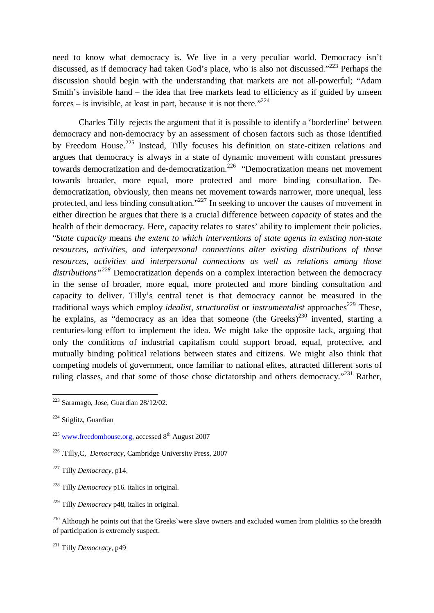need to know what democracy is. We live in a very peculiar world. Democracy isn't discussed, as if democracy had taken God's place, who is also not discussed."<sup>223</sup> Perhaps the discussion should begin with the understanding that markets are not all-powerful; "Adam Smith's invisible hand – the idea that free markets lead to efficiency as if guided by unseen forces – is invisible, at least in part, because it is not there." $224$ 

Charles Tilly rejects the argument that it is possible to identify a 'borderline' between democracy and non-democracy by an assessment of chosen factors such as those identified by Freedom House.<sup>225</sup> Instead, Tilly focuses his definition on state-citizen relations and argues that democracy is always in a state of dynamic movement with constant pressures towards democratization and de-democratization.<sup>226</sup> "Democratization means net movement towards broader, more equal, more protected and more binding consultation. Dedemocratization, obviously, then means net movement towards narrower, more unequal, less protected, and less binding consultation."<sup>227</sup> In seeking to uncover the causes of movement in either direction he argues that there is a crucial difference between *capacity* of states and the health of their democracy. Here, capacity relates to states' ability to implement their policies. "*State capacity* means *the extent to which interventions of state agents in existing non-state resources, activities, and interpersonal connections alter existing distributions of those resources, activities and interpersonal connections as well as relations among those distributions"<sup>228</sup>* Democratization depends on a complex interaction between the democracy in the sense of broader, more equal, more protected and more binding consultation and capacity to deliver. Tilly's central tenet is that democracy cannot be measured in the traditional ways which employ *idealist, structuralist* or *instrumentalist* approaches<sup>229</sup> These, he explains, as "democracy as an idea that someone (the Greeks)<sup>230</sup> invented, starting a centuries-long effort to implement the idea. We might take the opposite tack, arguing that only the conditions of industrial capitalism could support broad, equal, protective, and mutually binding political relations between states and citizens. We might also think that competing models of government, once familiar to national elites, attracted different sorts of ruling classes, and that some of those chose dictatorship and others democracy."<sup>231</sup> Rather,

<sup>228</sup> Tilly *Democracy* p16. italics in original.

<sup>229</sup> Tilly *Democracy* p48, italics in original.

<sup>230</sup> Although he points out that the Greeks' were slave owners and excluded women from plolitics so the breadth of participation is extremely suspect.

<sup>231</sup> Tilly *Democracy,* p49

 $\overline{a}$ <sup>223</sup> Saramago, Jose, Guardian 28/12/02.

<sup>224</sup> Stiglitz, Guardian

 $225$  www.freedomhouse.org, accessed  $8<sup>th</sup>$  August 2007

<sup>226</sup> .Tilly,C, *Democracy,* Cambridge University Press, 2007

<sup>227</sup> Tilly *Democracy,* p14.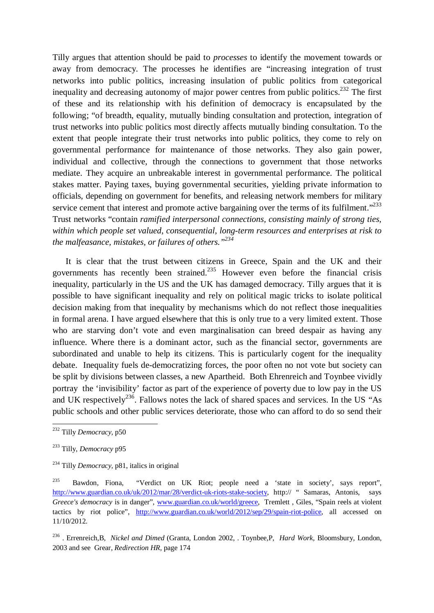Tilly argues that attention should be paid to *processes* to identify the movement towards or away from democracy. The processes he identifies are "increasing integration of trust networks into public politics, increasing insulation of public politics from categorical inequality and decreasing autonomy of major power centres from public politics.<sup>232</sup> The first of these and its relationship with his definition of democracy is encapsulated by the following; "of breadth, equality, mutually binding consultation and protection, integration of trust networks into public politics most directly affects mutually binding consultation. To the extent that people integrate their trust networks into public politics, they come to rely on governmental performance for maintenance of those networks. They also gain power, individual and collective, through the connections to government that those networks mediate. They acquire an unbreakable interest in governmental performance. The political stakes matter. Paying taxes, buying governmental securities, yielding private information to officials, depending on government for benefits, and releasing network members for military service cement that interest and promote active bargaining over the terms of its fulfilment."<sup>233</sup> Trust networks "contain *ramified interpersonal connections, consisting mainly of strong ties, within which people set valued, consequential, long-term resources and enterprises at risk to the malfeasance, mistakes, or failures of others."<sup>234</sup>*

It is clear that the trust between citizens in Greece, Spain and the UK and their governments has recently been strained.<sup>235</sup> However even before the financial crisis inequality, particularly in the US and the UK has damaged democracy. Tilly argues that it is possible to have significant inequality and rely on political magic tricks to isolate political decision making from that inequality by mechanisms which do not reflect those inequalities in formal arena. I have argued elsewhere that this is only true to a very limited extent. Those who are starving don't vote and even marginalisation can breed despair as having any influence. Where there is a dominant actor, such as the financial sector, governments are subordinated and unable to help its citizens. This is particularly cogent for the inequality debate. Inequality fuels de-democratizing forces, the poor often no not vote but society can be split by divisions between classes, a new Apartheid. Both Ehrenreich and Toynbee vividly portray the 'invisibility' factor as part of the experience of poverty due to low pay in the US and UK respectively<sup>236</sup>. Fallows notes the lack of shared spaces and services. In the US "As public schools and other public services deteriorate, those who can afford to do so send their

<sup>232</sup> Tilly *Democracy,* p50

<sup>233</sup> Tilly, *Democracy* p95

<sup>234</sup> Tilly *Democracy,* p81, italics in original

<sup>235</sup> Bawdon, Fiona, "Verdict on UK Riot; people need a 'state in society', says report", http://www.guardian.co.uk/uk/2012/mar/28/verdict-uk-riots-stake-society, http:// " Samaras, Antonis, says *Greece's democracy* is in danger", www.guardian.co.uk/world/greece, Tremlett , Giles, "Spain reels at violent tactics by riot police", http://www.guardian.co.uk/world/2012/sep/29/spain-riot-police, all accessed on 11/10/2012.

<sup>236</sup> . Errenreich,B, *Nickel and Dimed* (Granta, London 2002, . Toynbee,P, *Hard Work,* Bloomsbury, London, 2003 and see Grear, *Redirection HR,* page 174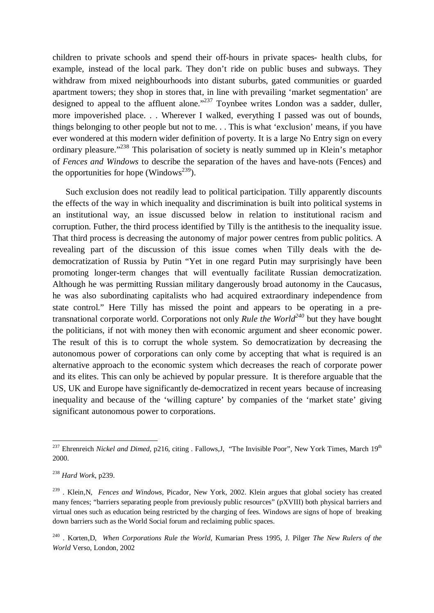children to private schools and spend their off-hours in private spaces- health clubs, for example, instead of the local park. They don't ride on public buses and subways. They withdraw from mixed neighbourhoods into distant suburbs, gated communities or guarded apartment towers; they shop in stores that, in line with prevailing 'market segmentation' are designed to appeal to the affluent alone."<sup>237</sup> Toynbee writes London was a sadder, duller, more impoverished place. . . Wherever I walked, everything I passed was out of bounds, things belonging to other people but not to me. . . This is what 'exclusion' means, if you have ever wondered at this modern wider definition of poverty. It is a large No Entry sign on every ordinary pleasure."<sup>238</sup> This polarisation of society is neatly summed up in Klein's metaphor of *Fences and Windows* to describe the separation of the haves and have-nots (Fences) and the opportunities for hope (Windows<sup>239</sup>).

Such exclusion does not readily lead to political participation. Tilly apparently discounts the effects of the way in which inequality and discrimination is built into political systems in an institutional way, an issue discussed below in relation to institutional racism and corruption. Futher, the third process identified by Tilly is the antithesis to the inequality issue. That third process is decreasing the autonomy of major power centres from public politics. A revealing part of the discussion of this issue comes when Tilly deals with the dedemocratization of Russia by Putin "Yet in one regard Putin may surprisingly have been promoting longer-term changes that will eventually facilitate Russian democratization. Although he was permitting Russian military dangerously broad autonomy in the Caucasus, he was also subordinating capitalists who had acquired extraordinary independence from state control." Here Tilly has missed the point and appears to be operating in a pretransnational corporate world. Corporations not only *Rule the World<sup>240</sup>* but they have bought the politicians, if not with money then with economic argument and sheer economic power. The result of this is to corrupt the whole system. So democratization by decreasing the autonomous power of corporations can only come by accepting that what is required is an alternative approach to the economic system which decreases the reach of corporate power and its elites. This can only be achieved by popular pressure. It is therefore arguable that the US, UK and Europe have significantly de-democratized in recent years because of increasing inequality and because of the 'willing capture' by companies of the 'market state' giving significant autonomous power to corporations.

<sup>&</sup>lt;sup>237</sup> Ehrenreich *Nickel and Dimed*, p216, citing . Fallows, J, "The Invisible Poor", New York Times, March 19<sup>th</sup> 2000.

<sup>238</sup> *Hard Work*, p239.

<sup>239</sup> . Klein,N, *Fences and Windows,* Picador, New York, 2002. Klein argues that global society has created many fences; "barriers separating people from previously public resources" (pXVIII) both physical barriers and virtual ones such as education being restricted by the charging of fees. Windows are signs of hope of breaking down barriers such as the World Social forum and reclaiming public spaces.

<sup>240</sup> . Korten,D, *When Corporations Rule the World,* Kumarian Press 1995, J. Pilger *The New Rulers of the World* Verso, London, 2002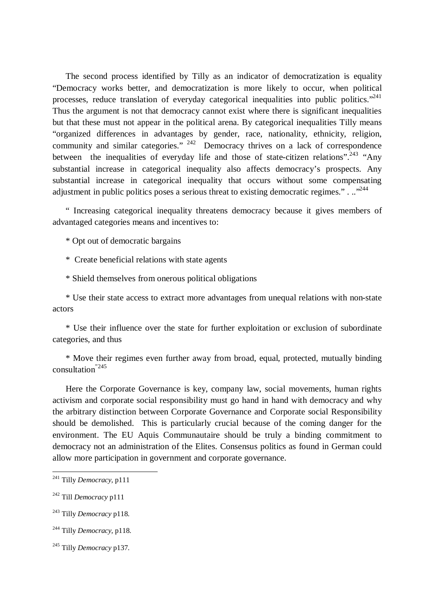The second process identified by Tilly as an indicator of democratization is equality "Democracy works better, and democratization is more likely to occur, when political processes, reduce translation of everyday categorical inequalities into public politics. $1241$ Thus the argument is not that democracy cannot exist where there is significant inequalities but that these must not appear in the political arena. By categorical inequalities Tilly means "organized differences in advantages by gender, race, nationality, ethnicity, religion, community and similar categories."  $242$  Democracy thrives on a lack of correspondence between the inequalities of everyday life and those of state-citizen relations".<sup>243</sup> "Any substantial increase in categorical inequality also affects democracy's prospects. Any substantial increase in categorical inequality that occurs without some compensating adjustment in public politics poses a serious threat to existing democratic regimes."  $\ldots$ <sup>244</sup>

" Increasing categorical inequality threatens democracy because it gives members of advantaged categories means and incentives to:

\* Opt out of democratic bargains

- \* Create beneficial relations with state agents
- \* Shield themselves from onerous political obligations

\* Use their state access to extract more advantages from unequal relations with non-state actors

\* Use their influence over the state for further exploitation or exclusion of subordinate categories, and thus

\* Move their regimes even further away from broad, equal, protected, mutually binding consultation"245

Here the Corporate Governance is key, company law, social movements, human rights activism and corporate social responsibility must go hand in hand with democracy and why the arbitrary distinction between Corporate Governance and Corporate social Responsibility should be demolished. This is particularly crucial because of the coming danger for the environment. The EU Aquis Communautaire should be truly a binding commitment to democracy not an administration of the Elites. Consensus politics as found in German could allow more participation in government and corporate governance.

<sup>241</sup> Tilly *Democracy,* p111

<sup>242</sup> Till *Democracy* p111

<sup>243</sup> Tilly *Democracy* p118.

<sup>244</sup> Tilly *Democracy,* p118.

<sup>245</sup> Tilly *Democracy* p137.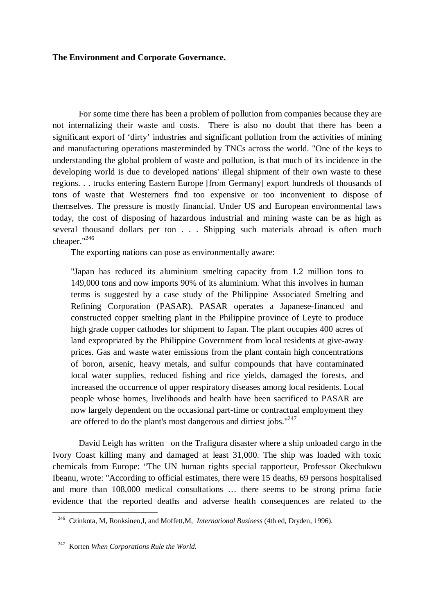# **The Environment and Corporate Governance.**

For some time there has been a problem of pollution from companies because they are not internalizing their waste and costs. There is also no doubt that there has been a significant export of 'dirty' industries and significant pollution from the activities of mining and manufacturing operations masterminded by TNCs across the world. "One of the keys to understanding the global problem of waste and pollution, is that much of its incidence in the developing world is due to developed nations' illegal shipment of their own waste to these regions. . . trucks entering Eastern Europe [from Germany] export hundreds of thousands of tons of waste that Westerners find too expensive or too inconvenient to dispose of themselves. The pressure is mostly financial. Under US and European environmental laws today, the cost of disposing of hazardous industrial and mining waste can be as high as several thousand dollars per ton . . . Shipping such materials abroad is often much cheaper."<sup>246</sup>

The exporting nations can pose as environmentally aware:

"Japan has reduced its aluminium smelting capacity from 1.2 million tons to 149,000 tons and now imports 90% of its aluminium. What this involves in human terms is suggested by a case study of the Philippine Associated Smelting and Refining Corporation (PASAR). PASAR operates a Japanese-financed and constructed copper smelting plant in the Philippine province of Leyte to produce high grade copper cathodes for shipment to Japan. The plant occupies 400 acres of land expropriated by the Philippine Government from local residents at give-away prices. Gas and waste water emissions from the plant contain high concentrations of boron, arsenic, heavy metals, and sulfur compounds that have contaminated local water supplies, reduced fishing and rice yields, damaged the forests, and increased the occurrence of upper respiratory diseases among local residents. Local people whose homes, livelihoods and health have been sacrificed to PASAR are now largely dependent on the occasional part-time or contractual employment they are offered to do the plant's most dangerous and dirtiest jobs."<sup>247</sup>

David Leigh has written on the Trafigura disaster where a ship unloaded cargo in the Ivory Coast killing many and damaged at least 31,000. The ship was loaded with toxic chemicals from Europe: "The UN human rights special rapporteur, Professor Okechukwu Ibeanu, wrote: "According to official estimates, there were 15 deaths, 69 persons hospitalised and more than 108,000 medical consultations … there seems to be strong prima facie evidence that the reported deaths and adverse health consequences are related to the

<sup>246</sup> Czinkota, M, Ronksinen,I, and Moffett,M, *International Business* (4th ed, Dryden, 1996).

<sup>247</sup> Korten *When Corporations Rule the World.*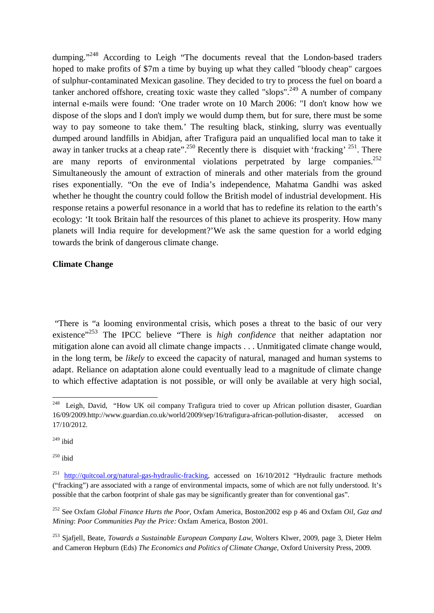dumping."<sup>248</sup> According to Leigh "The documents reveal that the London-based traders hoped to make profits of \$7m a time by buying up what they called "bloody cheap" cargoes of sulphur-contaminated Mexican gasoline. They decided to try to process the fuel on board a tanker anchored offshore, creating toxic waste they called "slops".<sup>249</sup> A number of company internal e-mails were found: 'One trader wrote on 10 March 2006: "I don't know how we dispose of the slops and I don't imply we would dump them, but for sure, there must be some way to pay someone to take them.' The resulting black, stinking, slurry was eventually dumped around landfills in Abidjan, after Trafigura paid an unqualified local man to take it away in tanker trucks at a cheap rate".<sup>250</sup> Recently there is disquiet with 'fracking'  $251$ . There are many reports of environmental violations perpetrated by large companies.<sup>252</sup> Simultaneously the amount of extraction of minerals and other materials from the ground rises exponentially. "On the eve of India's independence, Mahatma Gandhi was asked whether he thought the country could follow the British model of industrial development. His response retains a powerful resonance in a world that has to redefine its relation to the earth's ecology: 'It took Britain half the resources of this planet to achieve its prosperity. How many planets will India require for development?'We ask the same question for a world edging towards the brink of dangerous climate change.

#### **Climate Change**

"There is "a looming environmental crisis, which poses a threat to the basic of our very existence<sup>"253</sup> The IPCC believe "There is *high confidence* that neither adaptation nor mitigation alone can avoid all climate change impacts . . . Unmitigated climate change would, in the long term, be *likely* to exceed the capacity of natural, managed and human systems to adapt. Reliance on adaptation alone could eventually lead to a magnitude of climate change to which effective adaptation is not possible, or will only be available at very high social,

 $249$  ibid

 $250$  ibid

<sup>&</sup>lt;u>2</u>48 Leigh, David, "How UK oil company Trafigura tried to cover up African pollution disaster, Guardian 16/09/2009.http://www.guardian.co.uk/world/2009/sep/16/trafigura-african-pollution-disaster, accessed on 17/10/2012.

<sup>&</sup>lt;sup>251</sup> http://quitcoal.org/natural-gas-hydraulic-fracking, accessed on 16/10/2012 "Hydraulic fracture methods ("fracking") are associated with a range of environmental impacts, some of which are not fully understood. It's possible that the carbon footprint of shale gas may be significantly greater than for conventional gas".

<sup>252</sup> See Oxfam *Global Finance Hurts the Poor,* Oxfam America, Boston2002 esp p 46 and Oxfam *Oil*, *Gaz and Mining*: *Poor Communities Pay the Price:* Oxfam America, Boston 2001.

<sup>253</sup> Sjafjell, Beate, *Towards a Sustainable European Company Law,* Wolters Klwer, 2009, page 3, Dieter Helm and Cameron Hepburn (Eds) *The Economics and Politics of Climate Change,* Oxford University Press, 2009.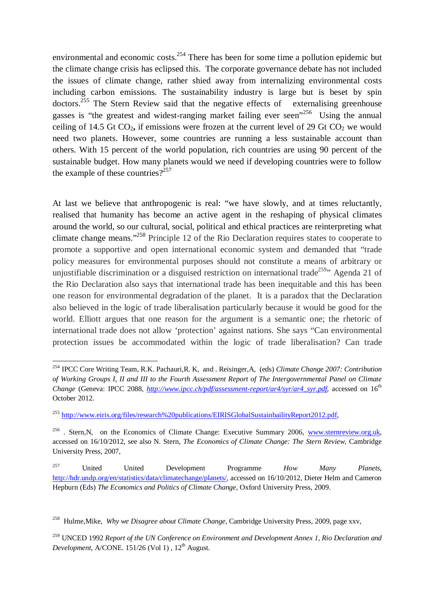environmental and economic costs.<sup>254</sup> There has been for some time a pollution epidemic but the climate change crisis has eclipsed this. The corporate governance debate has not included the issues of climate change, rather shied away from internalizing environmental costs including carbon emissions. The sustainability industry is large but is beset by spin  $dotors.<sup>255</sup>$  The Stern Review said that the negative effects of externalising greenhouse gasses is "the greatest and widest-ranging market failing ever seen"<sup>256</sup> Using the annual ceiling of 14.5 Gt  $CO<sub>2</sub>$ , if emissions were frozen at the current level of 29 Gt  $CO<sub>2</sub>$  we would need two planets. However, some countries are running a less sustainable account than others. With 15 percent of the world population, rich countries are using 90 percent of the sustainable budget. How many planets would we need if developing countries were to follow the example of these countries? $257$ 

At last we believe that anthropogenic is real: "we have slowly, and at times reluctantly, realised that humanity has become an active agent in the reshaping of physical climates around the world, so our cultural, social, political and ethical practices are reinterpreting what climate change means."<sup>258</sup> Principle 12 of the Rio Declaration requires states to cooperate to promote a supportive and open international economic system and demanded that "trade policy measures for environmental purposes should not constitute a means of arbitrary or unjustifiable discrimination or a disguised restriction on international trade<sup>259</sup>, Agenda 21 of the Rio Declaration also says that international trade has been inequitable and this has been one reason for environmental degradation of the planet. It is a paradox that the Declaration also believed in the logic of trade liberalisation particularly because it would be good for the world. Elliott argues that one reason for the argument is a semantic one; the rhetoric of international trade does not allow 'protection' against nations. She says "Can environmental protection issues be accommodated within the logic of trade liberalisation? Can trade

<sup>254</sup> IPCC Core Writing Team, R.K. Pachauri,R. K, and . Reisinger,A, (eds) *Climate Change 2007: Contribution of Working Groups I, II and III to the Fourth Assessment Report of The Intergovernmental Panel on Climate Change* (Geneva: IPCC 2088, *http://www.ipcc.ch/pdf/assessment-report/ar4/syr/ar4\_syr.pdf.* accessed on 16<sup>th</sup> October 2012.

<sup>255</sup> http://www.eiris.org/files/research%20publications/EIRISGlobalSustainbailityReport2012.pdf,

<sup>&</sup>lt;sup>256</sup> . Stern, N, on the Economics of Climate Change: Executive Summary 2006, www.sternreview.org.uk, accessed on 16/10/2012, see also N. Stern, *The Economics of Climate Change: The Stern Review,* Cambridge University Press, 2007,

<sup>257</sup> United United Development Programme *How Many Planets,*  http://hdr.undp.org/en/statistics/data/climatechange/planets/, accessed on 16/10/2012, Dieter Helm and Cameron Hepburn (Eds) *The Economics and Politics of Climate Change,* Oxford University Press, 2009.

<sup>258</sup> Hulme,Mike, *Why we Disagree about Climate Change,* Cambridge University Press, 2009, page xxv,

<sup>259</sup> UNCED 1992 *Report of the UN Conference on Environment and Development Annex 1, Rio Declaration and Development, A/CONE.* 151/26 (Vol 1), 12<sup>th</sup> August.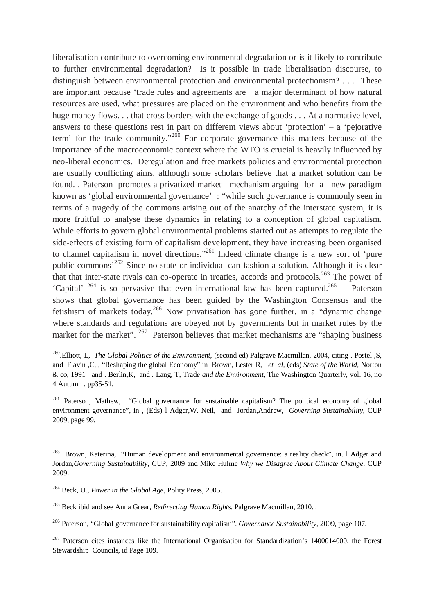liberalisation contribute to overcoming environmental degradation or is it likely to contribute to further environmental degradation? Is it possible in trade liberalisation discourse, to distinguish between environmental protection and environmental protectionism? . . . These are important because 'trade rules and agreements are a major determinant of how natural resources are used, what pressures are placed on the environment and who benefits from the huge money flows. . . that cross borders with the exchange of goods . . . At a normative level, answers to these questions rest in part on different views about 'protection' – a 'pejorative term' for the trade community."<sup>260</sup> For corporate governance this matters because of the importance of the macroeconomic context where the WTO is crucial is heavily influenced by neo-liberal economics. Deregulation and free markets policies and environmental protection are usually conflicting aims, although some scholars believe that a market solution can be found. . Paterson promotes a privatized market mechanism arguing for a new paradigm known as 'global environmental governance' : "while such governance is commonly seen in terms of a tragedy of the commons arising out of the anarchy of the interstate system, it is more fruitful to analyse these dynamics in relating to a conception of global capitalism. While efforts to govern global environmental problems started out as attempts to regulate the side-effects of existing form of capitalism development, they have increasing been organised to channel capitalism in novel directions."<sup>261</sup> Indeed climate change is a new sort of 'pure public commons'<sup>262</sup> Since no state or individual can fashion a solution. Although it is clear that that inter-state rivals can co-operate in treaties, accords and protocols.<sup>263</sup> The power of 'Capital'  $^{264}$  is so pervasive that even international law has been captured.<sup>265</sup> Paterson shows that global governance has been guided by the Washington Consensus and the fetishism of markets today.<sup>266</sup> Now privatisation has gone further, in a "dynamic change where standards and regulations are obeyed not by governments but in market rules by the market for the market". <sup>267</sup> Paterson believes that market mechanisms are "shaping business"

<sup>260</sup>.Elliott, L, *The Global Politics of the Environment,* (second ed) Palgrave Macmillan, 2004*,* citing . Postel ,S, and Flavin ,C, , "Reshaping the global Economy" in Brown, Lester R, *et al,* (eds) *State of the World,* Norton & co, 1991 and . Berlin,K, and . Lang, T, Trad*e and the Environment,* The Washington Quarterly, vol. 16, no 4 Autumn , pp35-51.

<sup>&</sup>lt;sup>261</sup> Paterson, Mathew, "Global governance for sustainable capitalism? The political economy of global environment governance", in *,* (Eds) l Adger,W. Neil, and Jordan,Andrew, *Governing Sustainability,* CUP 2009, page 99.

<sup>&</sup>lt;sup>263</sup> Brown, Katerina, "Human development and environmental governance: a reality check", in. 1 Adger and Jordan,*Governing Sustainability,* CUP, 2009 and Mike Hulme *Why we Disagree About Climate Change,* CUP 2009.

<sup>264</sup> Beck, U., *Power in the Global Age,* Polity Press, 2005.

<sup>265</sup> Beck ibid and see Anna Grear, *Redirecting Human Rights,* Palgrave Macmillan, 2010. ,

<sup>266</sup> Paterson, "Global governance for sustainability capitalism". *Governance Sustainability,* 2009, page 107.

<sup>&</sup>lt;sup>267</sup> Paterson cites instances like the International Organisation for Standardization's 1400014000, the Forest Stewardship Councils, id Page 109.